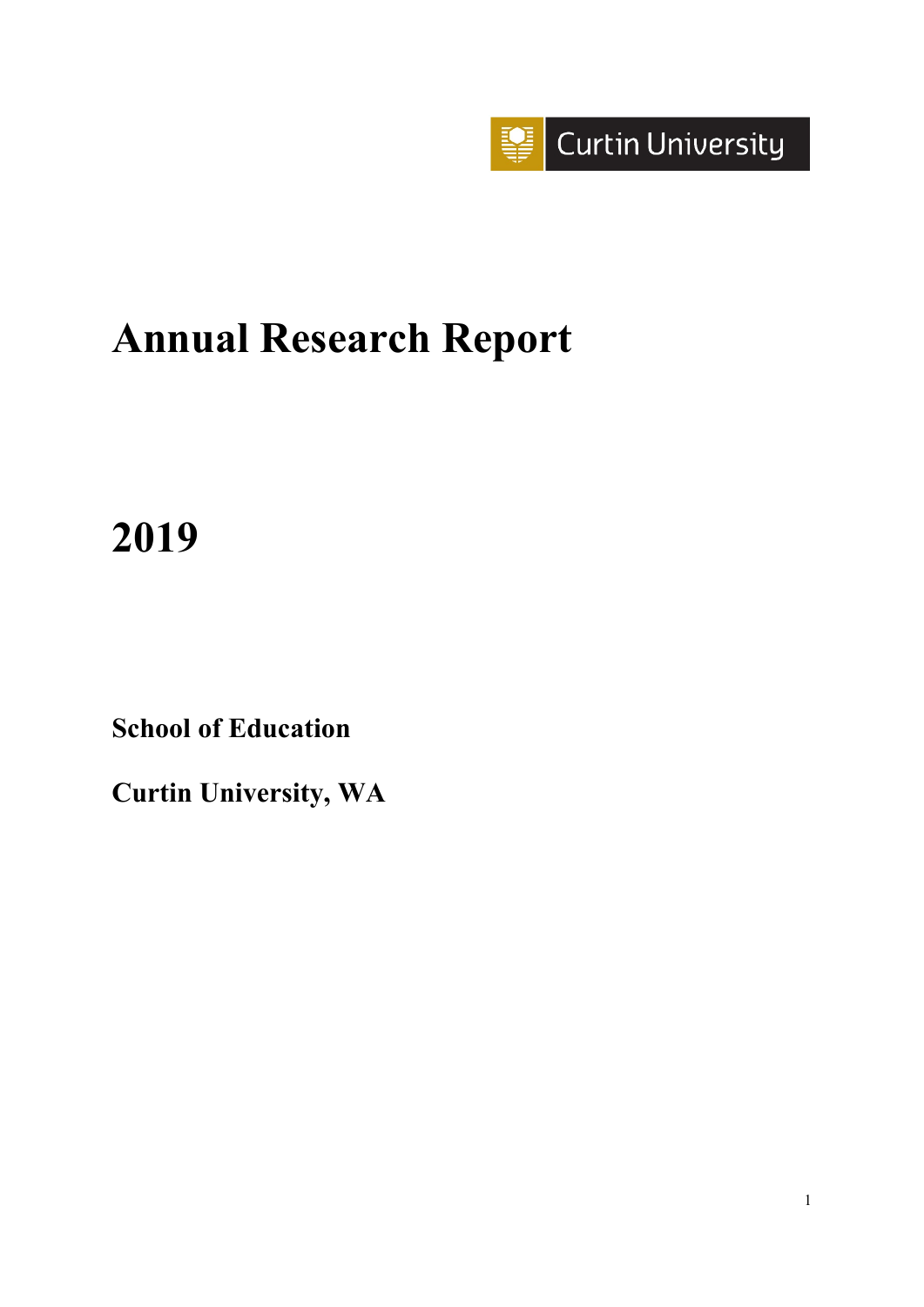

# **Annual Research Report**

# **2019**

**School of Education**

**Curtin University, WA**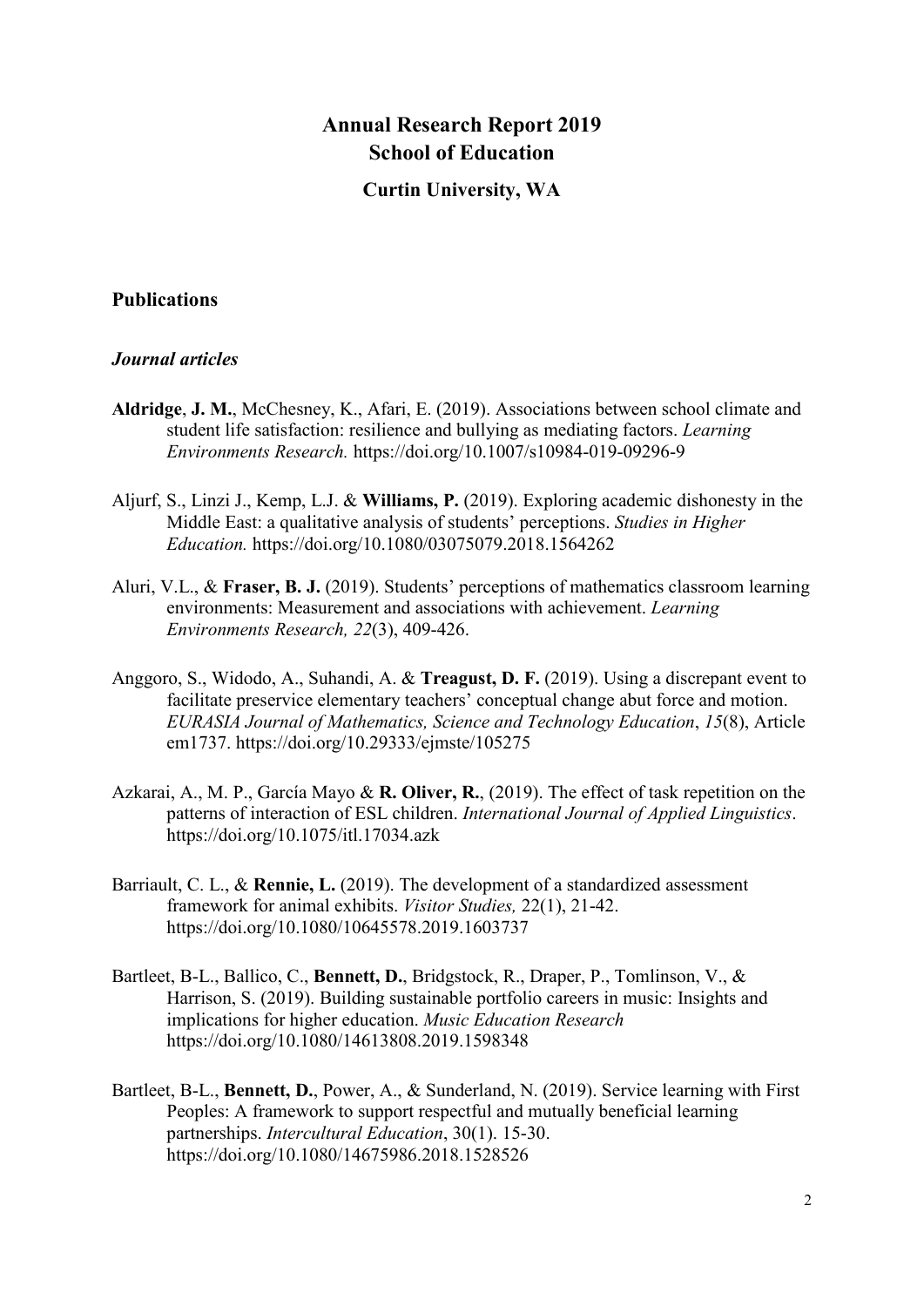# **Annual Research Report 2019 School of Education**

## **Curtin University, WA**

# **Publications**

#### *Journal articles*

- **Aldridge**, **J. M.**, McChesney, K., Afari, E. (2019). Associations between school climate and student life satisfaction: resilience and bullying as mediating factors. *Learning Environments Research.* <https://doi.org/10.1007/s10984-019-09296-9>
- Aljurf, S., Linzi J., Kemp, L.J. & **Williams, P.** (2019). Exploring academic dishonesty in the Middle East: a qualitative analysis of students' perceptions. *Studies in Higher Education.* <https://doi.org/10.1080/03075079.2018.1564262>
- Aluri, V.L., & **Fraser, B. J.** (2019). Students' perceptions of mathematics classroom learning environments: Measurement and associations with achievement. *Learning Environments Research, 22*(3), 409-426.
- Anggoro, S., Widodo, A., Suhandi, A. & **Treagust, D. F.** (2019). Using a discrepant event to facilitate preservice elementary teachers' conceptual change abut force and motion. *EURASIA Journal of Mathematics, Science and Technology Education*, *15*(8), Article em1737. <https://doi.org/10.29333/ejmste/105275>
- Azkarai, A., M. P., García Mayo & **R. Oliver, R.**, (2019). The effect of task repetition on the patterns of interaction of ESL children. *International Journal of Applied Linguistics*. <https://doi.org/10.1075/itl.17034.azk>
- Barriault, C. L., & **Rennie, L.** (2019). The development of a standardized assessment framework for animal exhibits. *Visitor Studies,* 22(1), 21-42. <https://doi.org/10.1080/10645578.2019.1603737>
- Bartleet, B-L., Ballico, C., **Bennett, D.**, Bridgstock, R., Draper, P., Tomlinson, V., & Harrison, S. (2019). Building sustainable portfolio careers in music: Insights and implications for higher education. *Music Education Research* <https://doi.org/10.1080/14613808.2019.1598348>
- Bartleet, B-L., **Bennett, D.**, Power, A., & Sunderland, N. (2019). Service learning with First Peoples: A framework to support respectful and mutually beneficial learning partnerships. *Intercultural Education*, 30(1). 15-30. <https://doi.org/10.1080/14675986.2018.1528526>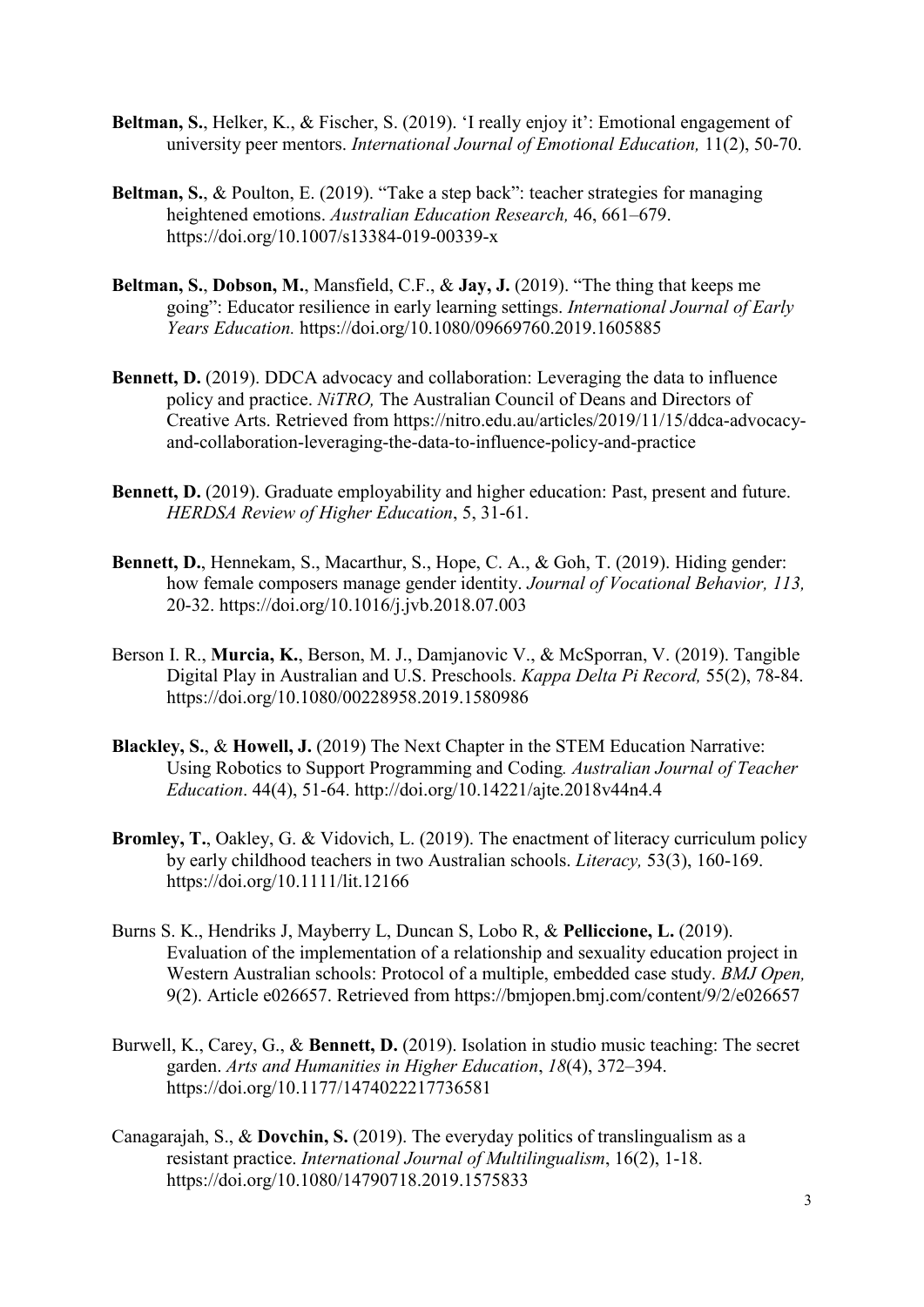- **Beltman, S.**, Helker, K., & Fischer, S. (2019). 'I really enjoy it': Emotional engagement of university peer mentors. *International Journal of Emotional Education,* 11(2), 50-70.
- **Beltman, S.**, & Poulton, E. (2019). "Take a step back": teacher strategies for managing heightened emotions. *Australian Education Research,* 46, 661–679. <https://doi.org/10.1007/s13384-019-00339-x>
- **Beltman, S.**, **Dobson, M.**, Mansfield, C.F., & **Jay, J.** (2019). "The thing that keeps me going": Educator resilience in early learning settings. *International Journal of Early Years Education.* <https://doi.org/10.1080/09669760.2019.1605885>
- **Bennett, D.** (2019). DDCA advocacy and collaboration: Leveraging the data to influence [policy and practice.](https://nitro.edu.au/articles/2019/11/15/ddca-advocacy-and-collaboration-leveraging-the-data-to-influence-policy-and-practice) *NiTRO,* The Australian Council of Deans and Directors of Creative Arts. Retrieved from https://nitro.edu.au/articles/2019/11/15/ddca-advocacyand-collaboration-leveraging-the-data-to-influence-policy-and-practice
- **Bennett, D.** (2019). Graduate employability and higher education: Past, present and future. *HERDSA Review of Higher Education*, 5, 31-61.
- **Bennett, D.**, Hennekam, S., Macarthur, S., Hope, C. A., & Goh, T. (2019). Hiding gender: how female composers manage gender identity. *Journal of Vocational Behavior, 113,* 20-32.<https://doi.org/10.1016/j.jvb.2018.07.003>
- Berson I. R., **Murcia, K.**, Berson, M. J., Damjanovic V., & McSporran, V. (2019). Tangible Digital Play in Australian and U.S. Preschools. *Kappa Delta Pi Record,* 55(2), 78-84. <https://doi.org/10.1080/00228958.2019.1580986>
- **Blackley, S.**, & **Howell, J.** (2019) The Next Chapter in the STEM Education Narrative: Using Robotics to Support Programming and Coding*. Australian Journal of Teacher Education*. 44(4), 51-64. http://doi.org/10.14221/ajte.2018v44n4.4
- **Bromley, T.**, Oakley, G. & Vidovich, L. (2019). The enactment of literacy curriculum policy by early childhood teachers in two Australian schools. *Literacy,* 53(3), 160-169. <https://doi.org/10.1111/lit.12166>
- Burns S. K., Hendriks J, Mayberry L, Duncan S, Lobo R, & **Pelliccione, L.** (2019). Evaluation of the implementation of a relationship and sexuality education project in Western Australian schools: Protocol of a multiple, embedded case study. *BMJ Open,* 9(2). Article e026657. Retrieved from<https://bmjopen.bmj.com/content/9/2/e026657>
- Burwell, K., Carey, G., & **Bennett, D.** (2019). Isolation in studio music teaching: The secret garden. *Arts and Humanities in Higher Education*, *18*(4), 372–394. <https://doi.org/10.1177/1474022217736581>
- Canagarajah, S., & **Dovchin, S.** (2019). The everyday politics of translingualism as a resistant practice. *International Journal of Multilingualism*, 16(2), 1-18. <https://doi.org/10.1080/14790718.2019.1575833>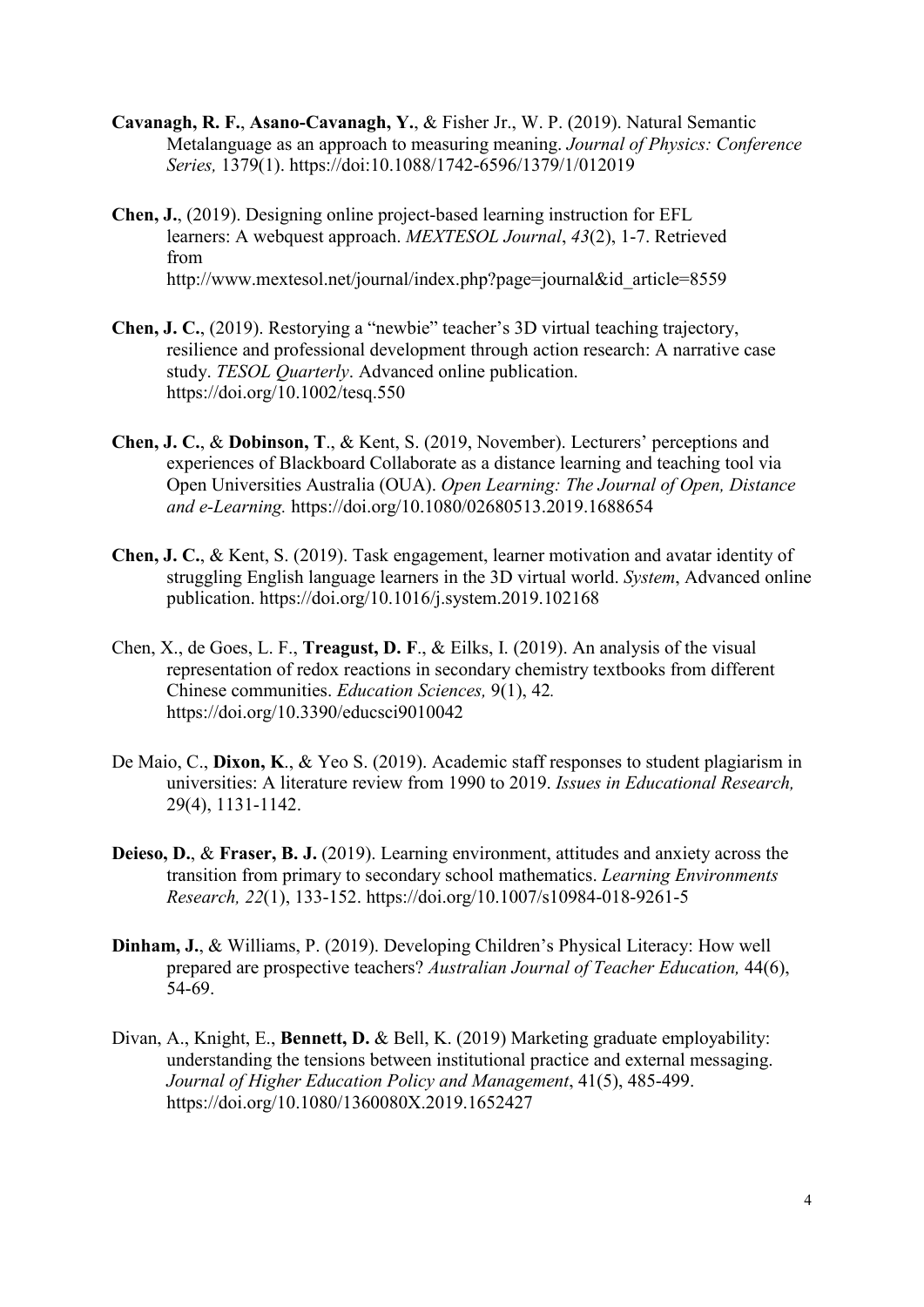- **Cavanagh, R. F.**, **Asano-Cavanagh, Y.**, & Fisher Jr., W. P. (2019). [Natural Semantic](http://hdl.handle.net/20.500.11937/77073)  [Metalanguage as an approach to measuring meaning.](http://hdl.handle.net/20.500.11937/77073) *Journal of Physics: Conference Series,* 1379(1). <https://doi:10.1088/1742-6596/1379/1/012019>
- **Chen, J.**, (2019). Designing online project-based learning instruction for EFL learners: A webquest approach. *MEXTESOL Journal*, *43*(2), 1-7. Retrieved from http://www.mextesol.net/journal/index.php?page=journal&id\_article=8559
- **Chen, J. C.**, (2019). Restorying a "newbie" teacher's 3D virtual teaching trajectory, resilience and professional development through action research: A narrative case study. *TESOL Quarterly*. Advanced online publication. <https://doi.org/10.1002/tesq.550>
- **Chen, J. C.**, & **Dobinson, T**., & Kent, S. (2019, November). Lecturers' perceptions and experiences of Blackboard Collaborate as a distance learning and teaching tool via Open Universities Australia (OUA). *Open Learning: The Journal of Open, Distance and e-Learning.* <https://doi.org/10.1080/02680513.2019.1688654>
- **Chen, J. C.**, & Kent, S. (2019). Task engagement, learner motivation and avatar identity of struggling English language learners in the 3D virtual world. *System*, Advanced online publication.<https://doi.org/10.1016/j.system.2019.102168>
- Chen, X., de Goes, L. F., **Treagust, D. F**., & Eilks, I. (2019). An analysis of the visual representation of redox reactions in secondary chemistry textbooks from different Chinese communities. *Education Sciences,* 9(1), 42*.*  <https://doi.org/10.3390/educsci9010042>
- De Maio, C., **Dixon, K**., & Yeo S. (2019). Academic staff responses to student plagiarism in universities: A literature review from 1990 to 2019. *Issues in Educational Research,* 29(4), 1131-1142.
- **Deieso, D.**, & **Fraser, B. J.** (2019). Learning environment, attitudes and anxiety across the transition from primary to secondary school mathematics. *Learning Environments Research, 22*(1), 133-152. <https://doi.org/10.1007/s10984-018-9261-5>
- **Dinham, J.**, & Williams, P. (2019). Developing Children's Physical Literacy: How well prepared are prospective teachers? *Australian Journal of Teacher Education,* 44(6), 54-69.
- Divan, A., Knight, E., **Bennett, D.** & Bell, K. (2019) Marketing graduate employability: understanding the tensions between institutional practice and external messaging. *Journal of Higher Education Policy and Management*, 41(5), 485-499. <https://doi.org/10.1080/1360080X.2019.1652427>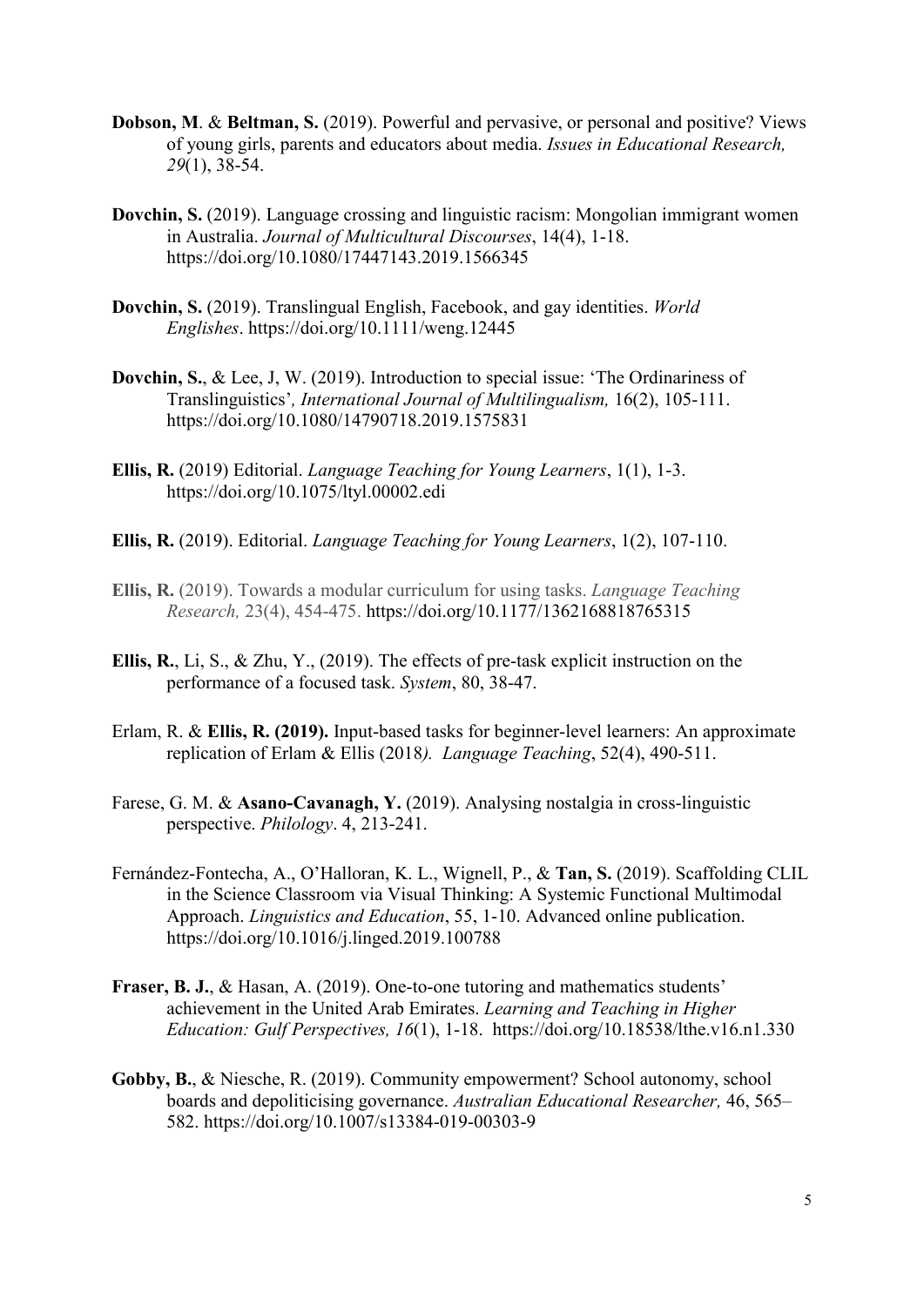- **Dobson, M**. & **Beltman, S.** (2019). Powerful and pervasive, or personal and positive? Views of young girls, parents and educators about media. *Issues in Educational Research, 29*(1), 38-54.
- **Dovchin, S.** (2019). Language crossing and linguistic racism: Mongolian immigrant women in Australia. *Journal of Multicultural Discourses*, 14(4), 1-18. <https://doi.org/10.1080/17447143.2019.1566345>
- **Dovchin, S.** (2019). Translingual English, Facebook, and gay identities. *World Englishes*. <https://doi.org/10.1111/weng.12445>
- **Dovchin, S.**, & Lee, J, W. (2019). Introduction to special issue: 'The Ordinariness of Translinguistics'*, International Journal of Multilingualism,* 16(2), 105-111. <https://doi.org/10.1080/14790718.2019.1575831>
- **Ellis, R.** (2019) Editorial. *Language Teaching for Young Learners*, 1(1), 1-3. <https://doi.org/10.1075/ltyl.00002.edi>
- **Ellis, R.** (2019). Editorial. *Language Teaching for Young Learners*, 1(2), 107-110.
- **Ellis, R.** (2019). Towards a modular curriculum for using tasks. *Language Teaching Research,* 23(4), 454-475. [https://doi.org/10.1177/1362168818765315](https://doi.org/10.1177%2F1362168818765315)
- **Ellis, R.**, Li, S., & Zhu, Y., (2019). The effects of pre-task explicit instruction on the performance of a focused task. *System*, 80, 38-47.
- Erlam, R. & **Ellis, R. (2019).** Input-based tasks for beginner-level learners: An approximate replication of Erlam & Ellis (2018*). Language Teaching*, 52(4), 490-511.
- Farese, G. M. & **Asano-Cavanagh, Y.** (2019). Analysing nostalgia in cross-linguistic perspective. *Philology*. 4, 213-241.
- Fernández-Fontecha, A., O'Halloran, K. L., Wignell, P., & **Tan, S.** (2019). Scaffolding CLIL in the Science Classroom via Visual Thinking: A Systemic Functional Multimodal Approach. *Linguistics and Education*, 55, 1-10. Advanced online publication. <https://doi.org/10.1016/j.linged.2019.100788>
- **Fraser, B. J.**, & Hasan, A. (2019). One-to-one tutoring and mathematics students' achievement in the United Arab Emirates. *Learning and Teaching in Higher Education: Gulf Perspectives, 16*(1), 1-18. <https://doi.org/10.18538/lthe.v16.n1.330>
- **Gobby, B.**, & Niesche, R. (2019). Community empowerment? School autonomy, school boards and depoliticising governance. *Australian Educational Researcher,* 46, 565– 582. <https://doi.org/10.1007/s13384-019-00303-9>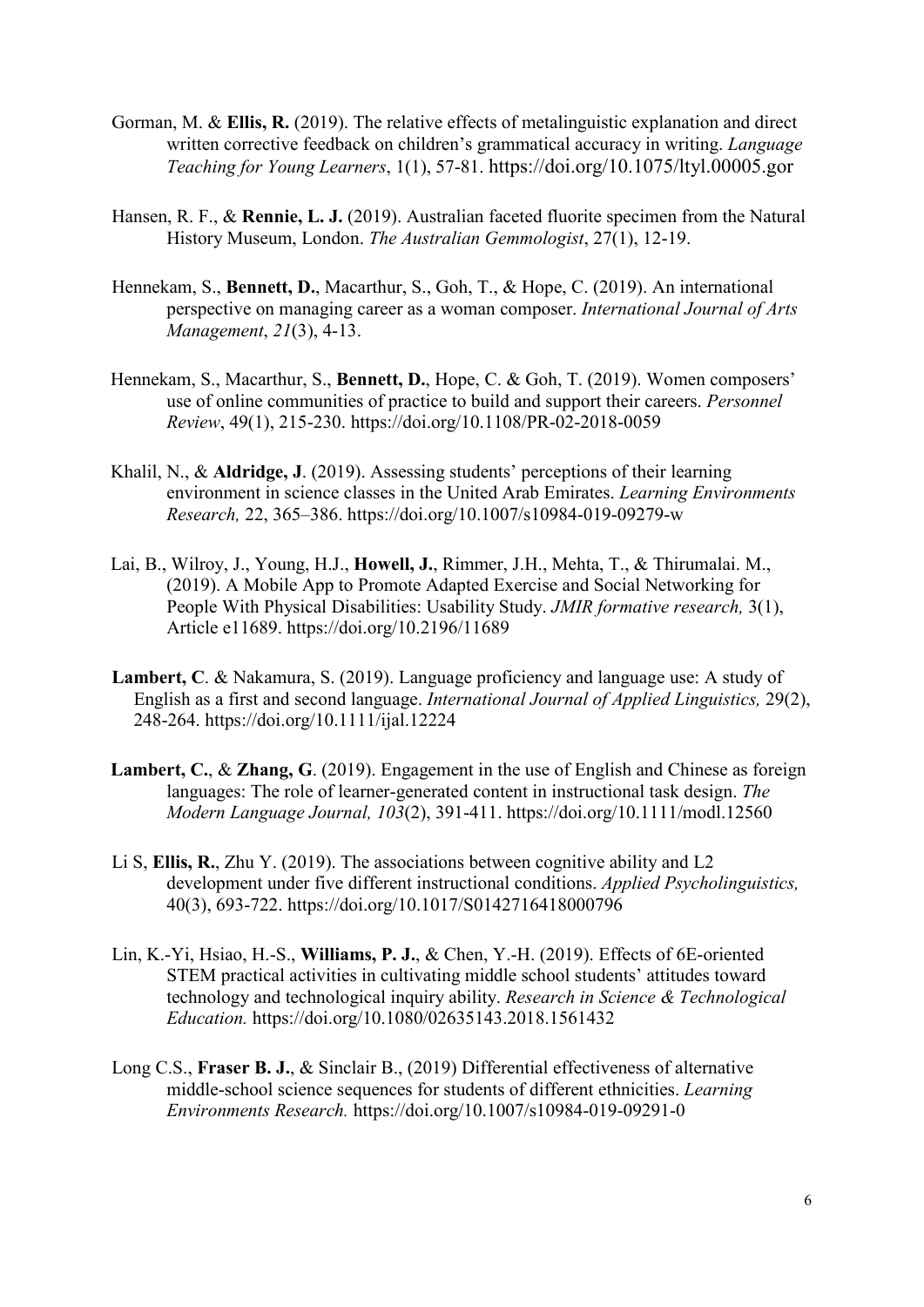- Gorman, M. & **Ellis, R.** (2019). The relative effects of metalinguistic explanation and direct written corrective feedback on children's grammatical accuracy in writing. *Language Teaching for Young Learners*, 1(1), 57-81.<https://doi.org/10.1075/ltyl.00005.gor>
- Hansen, R. F., & **Rennie, L. J.** (2019). Australian faceted fluorite specimen from the Natural History Museum, London. *The Australian Gemmologist*, 27(1), 12-19.
- Hennekam, S., **Bennett, D.**, Macarthur, S., Goh, T., & Hope, C. (2019). An international perspective on managing career as a woman composer. *International Journal of Arts Management*, *21*(3), 4-13.
- Hennekam, S., Macarthur, S., **Bennett, D.**, Hope, C. & Goh, T. (2019). Women composers' use of online communities of practice to build and support their careers. *Personnel Review*, 49(1), 215-230. https://doi.org/10.1108/PR-02-2018-0059
- Khalil, N., & **Aldridge, J**. (2019). Assessing students' perceptions of their learning environment in science classes in the United Arab Emirates. *Learning Environments Research,* 22, 365–386.<https://doi.org/10.1007/s10984-019-09279-w>
- Lai, B., Wilroy, J., Young, H.J., **Howell, J.**, Rimmer, J.H., Mehta, T., & Thirumalai. M., (2019). A Mobile App to Promote Adapted Exercise and Social Networking for People With Physical Disabilities: Usability Study. *JMIR formative research,* 3(1), Article e11689.<https://doi.org/10.2196/11689>
- **Lambert, C**. & Nakamura, S. (2019). Language proficiency and language use: A study of English as a first and second language. *International Journal of Applied Linguistics,* 29(2), 248-264.<https://doi.org/10.1111/ijal.12224>
- **Lambert, C.**, & **Zhang, G**. (2019). Engagement in the use of English and Chinese as foreign languages: The role of learner-generated content in instructional task design. *The Modern Language Journal, 103*(2), 391-411.<https://doi.org/10.1111/modl.12560>
- Li S, **Ellis, R.**, Zhu Y. (2019). The associations between cognitive ability and L2 development under five different instructional conditions. *Applied Psycholinguistics,* 40(3), 693-722.<https://doi.org/10.1017/S0142716418000796>
- Lin, K.-Yi, Hsiao, H.-S., **Williams, P. J.**, & Chen, Y.-H. (2019). Effects of 6E-oriented STEM practical activities in cultivating middle school students' attitudes toward technology and technological inquiry ability. *Research in Science & Technological Education.* <https://doi.org/10.1080/02635143.2018.1561432>
- Long C.S., **Fraser B. J.**, & Sinclair B., (2019) Differential effectiveness of alternative middle-school science sequences for students of different ethnicities. *Learning Environments Research.* https://doi.org/10.1007/s10984-019-09291-0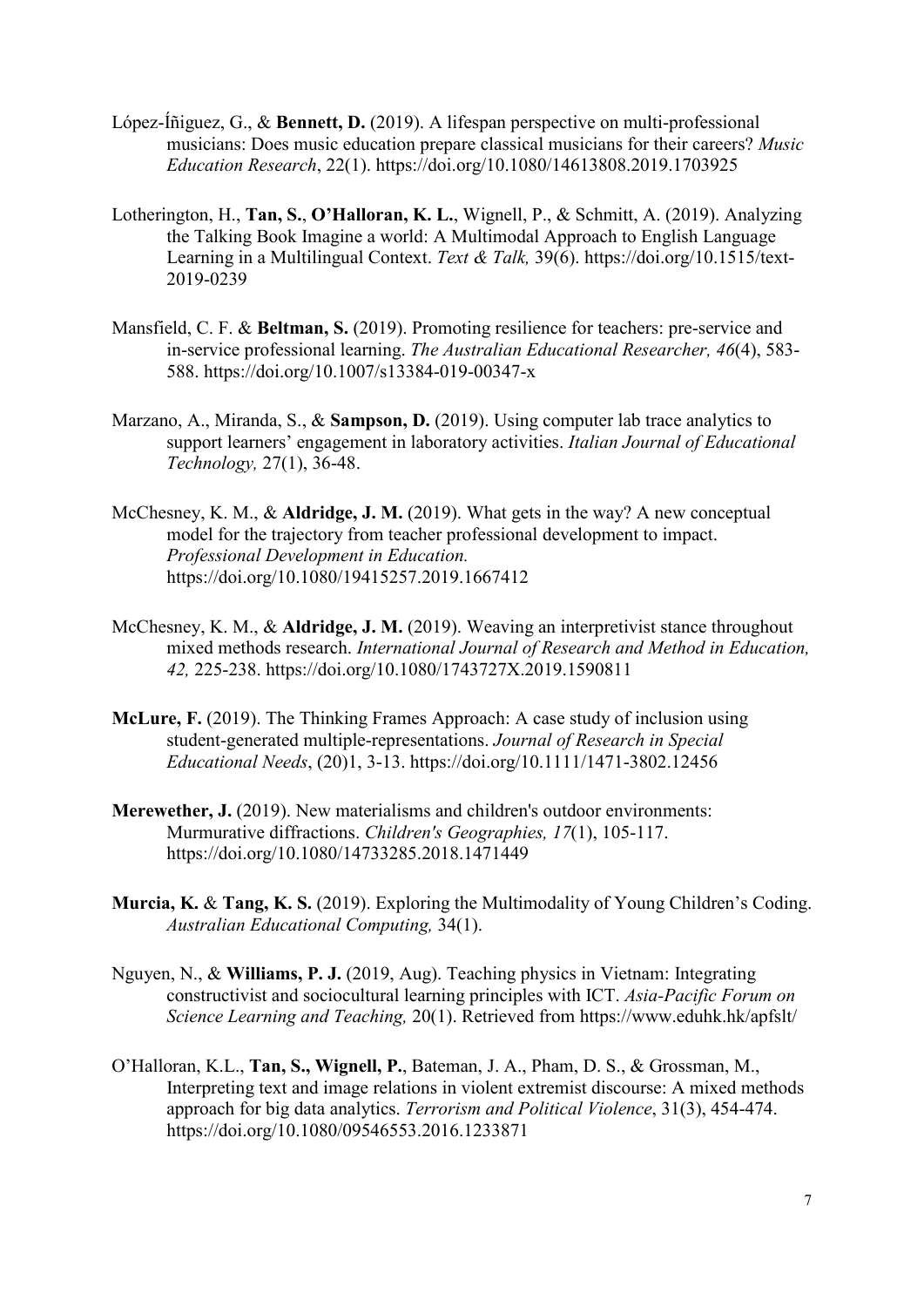- López-Íñiguez, G., & **Bennett, D.** (2019). A lifespan perspective on multi-professional musicians: Does music education prepare classical musicians for their careers? *Music Education Research*, 22(1).<https://doi.org/10.1080/14613808.2019.1703925>
- Lotherington, H., **Tan, S.**, **O'Halloran, K. L.**, Wignell, P., & Schmitt, A. (2019). Analyzing the Talking Book Imagine a world: A Multimodal Approach to English Language Learning in a Multilingual Context. *Text & Talk,* 39(6). [https://doi.org/10.1515/text-](https://doi.org/10.1515/text-2019-0239)[2019-0239](https://doi.org/10.1515/text-2019-0239)
- Mansfield, C. F. & **Beltman, S.** (2019). Promoting resilience for teachers: pre-service and in-service professional learning. *The Australian Educational Researcher, 46*(4), 583- 588.<https://doi.org/10.1007/s13384-019-00347-x>
- Marzano, A., Miranda, S., & **Sampson, D.** (2019). Using computer lab trace analytics to support learners' engagement in laboratory activities. *Italian Journal of Educational Technology,* 27(1), 36-48.
- McChesney, K. M., & **Aldridge, J. M.** (2019). What gets in the way? A new conceptual model for the trajectory from teacher professional development to impact. *Professional Development in Education.* <https://doi.org/10.1080/19415257.2019.1667412>
- McChesney, K. M., & **Aldridge, J. M.** (2019). Weaving an interpretivist stance throughout mixed methods research. *International Journal of Research and Method in Education, 42,* 225-238. <https://doi.org/10.1080/1743727X.2019.1590811>
- **McLure, F.** (2019). The Thinking Frames Approach: A case study of inclusion using student-generated multiple-representations. *Journal of Research in Special Educational Needs*, (20)1, 3-13.<https://doi.org/10.1111/1471-3802.12456>
- **Merewether, J.** (2019). New materialisms and children's outdoor environments: Murmurative diffractions. *Children's Geographies, 17*(1), 105-117. <https://doi.org/10.1080/14733285.2018.1471449>
- **Murcia, K.** & **Tang, K. S.** (2019). Exploring the Multimodality of Young Children's Coding. *Australian Educational Computing,* 34(1).
- Nguyen, N., & **Williams, P. J.** (2019, Aug). Teaching physics in Vietnam: Integrating constructivist and sociocultural learning principles with ICT. *Asia-Pacific Forum on Science Learning and Teaching,* 20(1). Retrieved from https://www.eduhk.hk/apfslt/
- O'Halloran, K.L., **Tan, S., Wignell, P.**, Bateman, J. A., Pham, D. S., & Grossman, M., Interpreting text and image relations in violent extremist discourse: A mixed methods approach for big data analytics. *Terrorism and Political Violence*, 31(3), 454-474. <https://doi.org/10.1080/09546553.2016.1233871>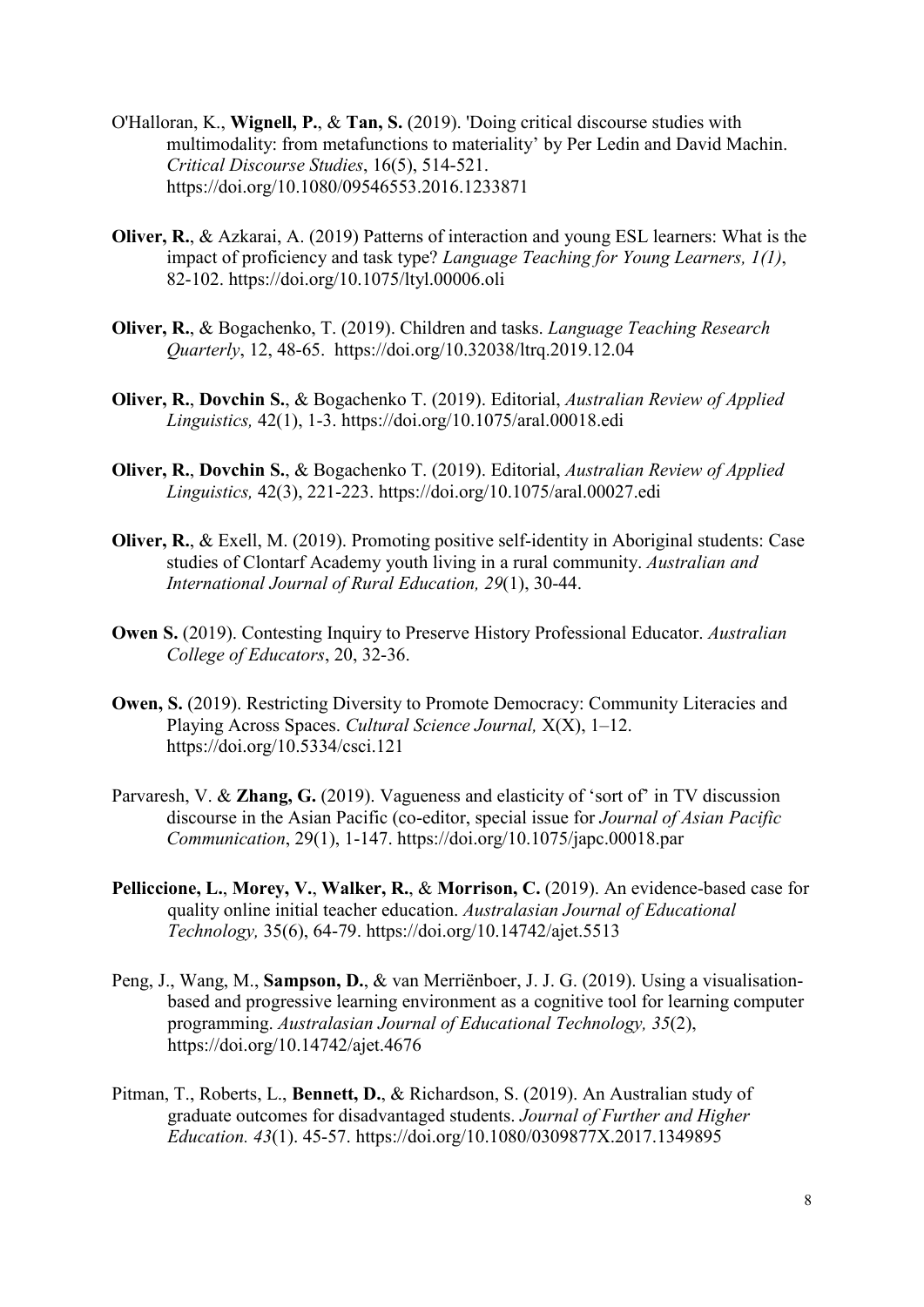- O'Halloran, K., **Wignell, P.**, & **Tan, S.** (2019). 'Doing critical discourse studies with multimodality: from metafunctions to materiality' by Per Ledin and David Machin. *Critical Discourse Studies*, 16(5), 514-521. <https://doi.org/10.1080/09546553.2016.1233871>
- **Oliver, R.**, & Azkarai, A. (2019) Patterns of interaction and young ESL learners: What is the impact of proficiency and task type? *Language Teaching for Young Learners, 1(1)*, 82-102. <https://doi.org/10.1075/ltyl.00006.oli>
- **Oliver, R.**, & Bogachenko, T. (2019). Children and tasks. *Language Teaching Research Quarterly*, 12, 48-65. https://doi.org/10.32038/ltrq.2019.12.04
- **Oliver, R.**, **Dovchin S.**, & Bogachenko T. (2019). Editorial, *Australian Review of Applied Linguistics,* 42(1), 1-3. <https://doi.org/10.1075/aral.00018.edi>
- **Oliver, R.**, **Dovchin S.**, & Bogachenko T. (2019). Editorial, *Australian Review of Applied Linguistics,* 42(3), 221-223.<https://doi.org/10.1075/aral.00027.edi>
- **Oliver, R.**, & Exell, M. (2019). Promoting positive self-identity in Aboriginal students: Case studies of Clontarf Academy youth living in a rural community. *Australian and International Journal of Rural Education, 29*(1), 30-44.
- **Owen S.** (2019). Contesting Inquiry to Preserve History Professional Educator. *Australian College of Educators*, 20, 32-36.
- **Owen, S.** (2019). Restricting Diversity to Promote Democracy: Community Literacies and Playing Across Spaces. *Cultural Science Journal,* X(X), 1–12. <https://doi.org/10.5334/csci.121>
- Parvaresh, V. & **Zhang, G.** (2019). Vagueness and elasticity of 'sort of' in TV discussion discourse in the Asian Pacific (co-editor, special issue for *Journal of Asian Pacific Communication*, 29(1), 1-147. <https://doi.org/10.1075/japc.00018.par>
- **Pelliccione, L.**, **Morey, V.**, **Walker, R.**, & **Morrison, C.** (2019). An evidence-based case for quality online initial teacher education. *Australasian Journal of Educational Technology,* 35(6), 64-79.<https://doi.org/10.14742/ajet.5513>
- Peng, J., Wang, M., **Sampson, D.**, & van Merriënboer, J. J. G. (2019). Using a visualisationbased and progressive learning environment as a cognitive tool for learning computer programming. *Australasian Journal of Educational Technology, 35*(2), https://doi.org/10.14742/ajet.4676
- Pitman, T., Roberts, L., **Bennett, D.**, & Richardson, S. (2019). An Australian study of graduate outcomes for disadvantaged students. *Journal of Further and Higher Education. 43*(1). 45-57.<https://doi.org/10.1080/0309877X.2017.1349895>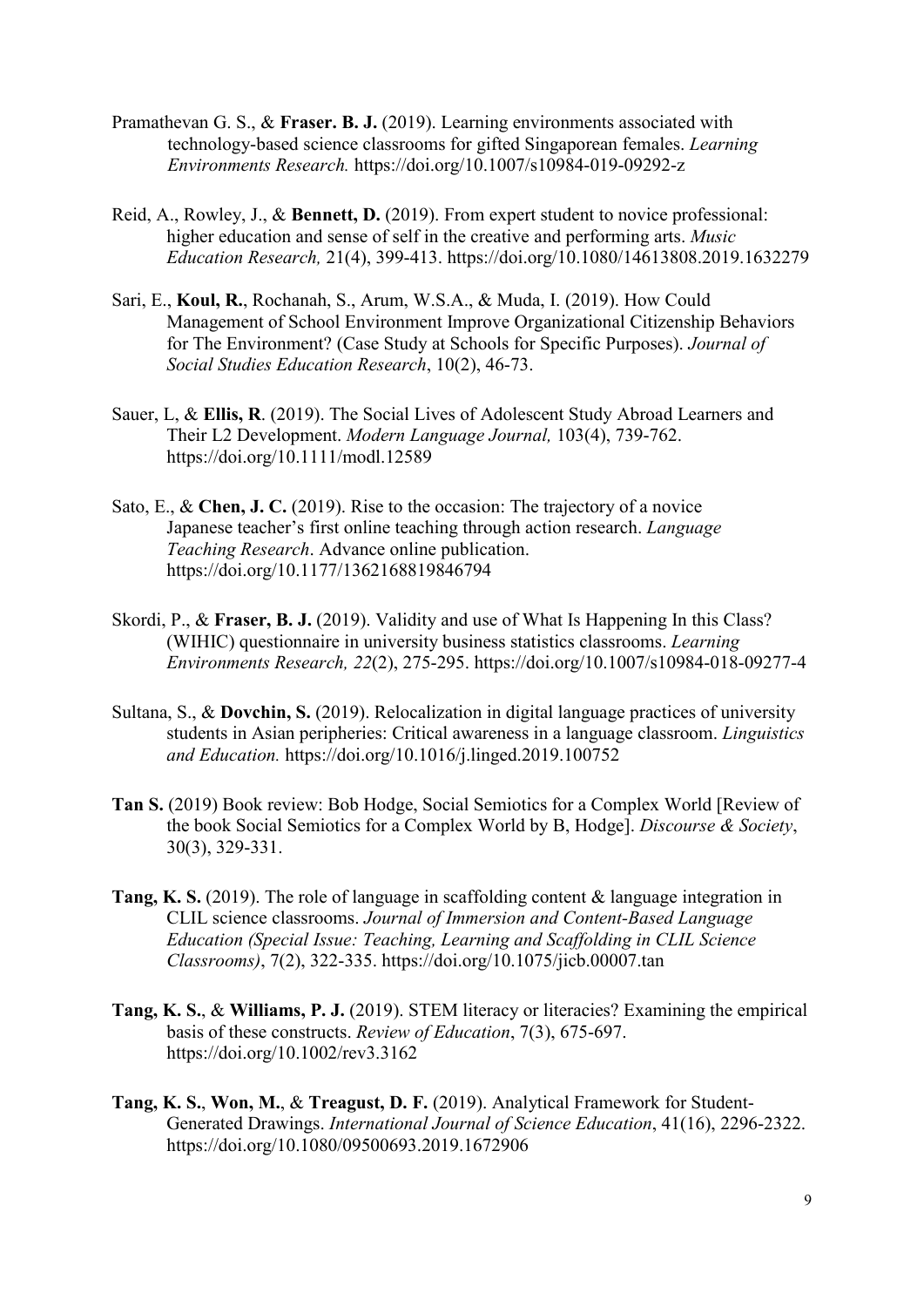- Pramathevan G. S., & **Fraser. B. J.** (2019). Learning environments associated with technology-based science classrooms for gifted Singaporean females. *Learning Environments Research.* <https://doi.org/10.1007/s10984-019-09292-z>
- Reid, A., Rowley, J., & **Bennett, D.** (2019). From expert student to novice professional: higher education and sense of self in the creative and performing arts. *Music Education Research,* 21(4), 399-413. <https://doi.org/10.1080/14613808.2019.1632279>
- Sari, E., **Koul, R.**, Rochanah, S., Arum, W.S.A., & Muda, I. (2019). How Could Management of School Environment Improve Organizational Citizenship Behaviors for The Environment? (Case Study at Schools for Specific Purposes). *Journal of Social Studies Education Research*, 10(2), 46-73.
- Sauer, L, & **Ellis, R**. (2019). The Social Lives of Adolescent Study Abroad Learners and Their L2 Development. *Modern Language Journal,* 103(4), 739-762. <https://doi.org/10.1111/modl.12589>
- Sato, E., & **Chen, J. C.** (2019). Rise to the occasion: The trajectory of a novice Japanese teacher's first online teaching through action research. *Language Teaching Research*. Advance online publication. <https://doi.org/10.1177/1362168819846794>
- Skordi, P., & **Fraser, B. J.** (2019). Validity and use of What Is Happening In this Class? (WIHIC) questionnaire in university business statistics classrooms. *Learning Environments Research, 22*(2), 275-295. <https://doi.org/10.1007/s10984-018-09277-4>
- Sultana, S., & **Dovchin, S.** (2019). Relocalization in digital language practices of university students in Asian peripheries: Critical awareness in a language classroom. *Linguistics and Education.* <https://doi.org/10.1016/j.linged.2019.100752>
- **Tan S.** (2019) Book review: Bob Hodge, Social Semiotics for a Complex World [Review of the book Social Semiotics for a Complex World by B, Hodge]. *Discourse & Society*, 30(3), 329-331.
- **Tang, K. S.** (2019). The role of language in scaffolding content & language integration in CLIL science classrooms. *Journal of Immersion and Content-Based Language Education (Special Issue: Teaching, Learning and Scaffolding in CLIL Science Classrooms)*, 7(2), 322-335. <https://doi.org/10.1075/jicb.00007.tan>
- **Tang, K. S.**, & **Williams, P. J.** (2019). STEM literacy or literacies? Examining the empirical basis of these constructs. *Review of Education*, 7(3), 675-697. <https://doi.org/10.1002/rev3.3162>
- **Tang, K. S.**, **Won, M.**, & **Treagust, D. F.** (2019). Analytical Framework for Student-Generated Drawings. *International Journal of Science Education*, 41(16), 2296-2322. <https://doi.org/10.1080/09500693.2019.1672906>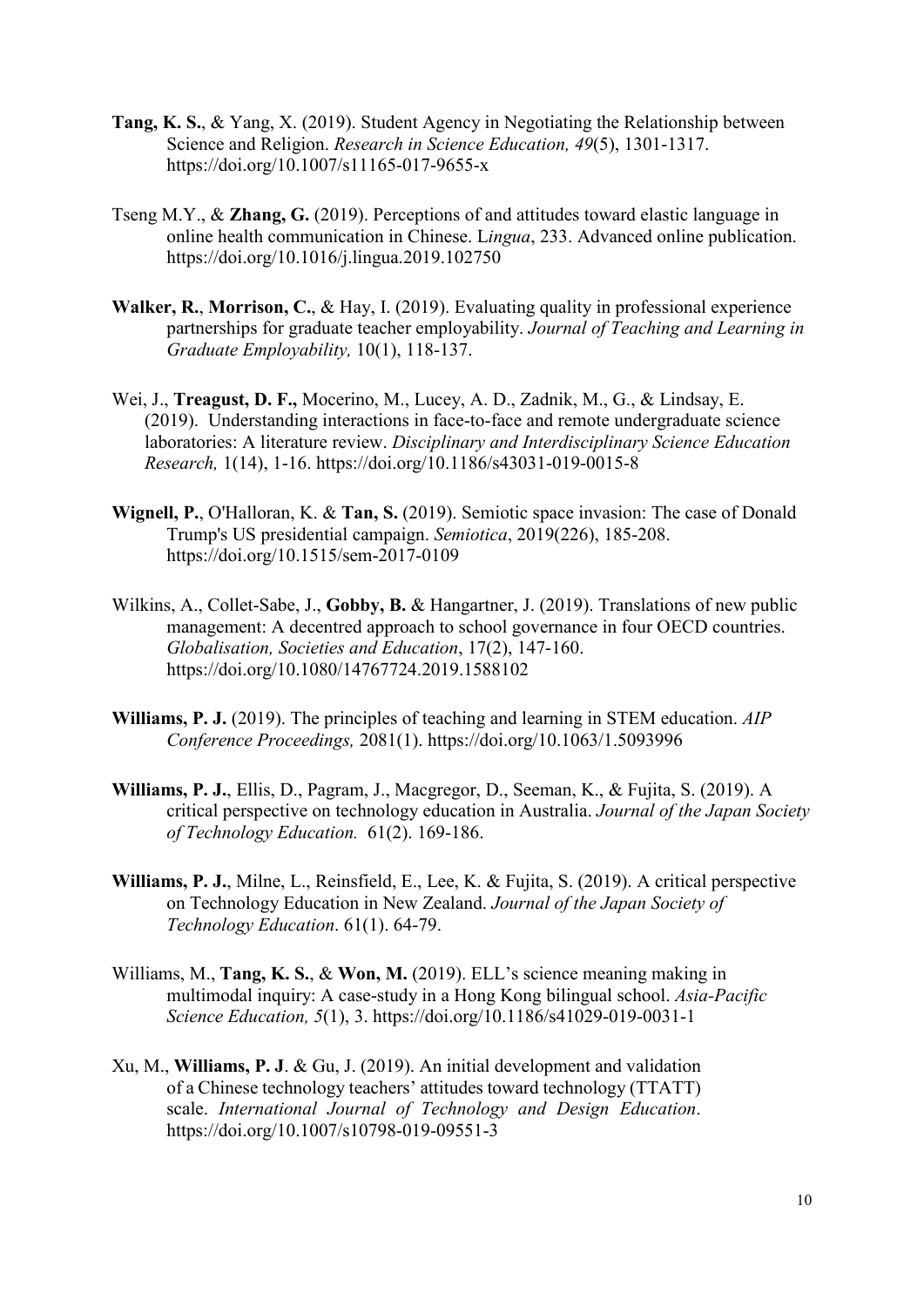- **Tang, K. S.**, & Yang, X. (2019). Student Agency in Negotiating the Relationship between Science and Religion. *Research in Science Education, 49*(5), 1301-1317. <https://doi.org/10.1007/s11165-017-9655-x>
- Tseng M.Y., & **Zhang, G.** (2019). Perceptions of and attitudes toward elastic language in online health communication in Chinese. L*ingua*, 233. Advanced online publication. <https://doi.org/10.1016/j.lingua.2019.102750>
- **Walker, R.**, **Morrison, C.**, & Hay, I. (2019). Evaluating quality in professional experience partnerships for graduate teacher employability. *Journal of Teaching and Learning in Graduate Employability,* 10(1), 118-137.
- Wei, J., **Treagust, D. F.,** Mocerino, M., Lucey, A. D., Zadnik, M., G., & Lindsay, E. (2019). Understanding interactions in face-to-face and remote undergraduate science laboratories: A literature review. *Disciplinary and Interdisciplinary Science Education Research,* 1(14), 1-16. https://doi.org/10.1186/s43031-019-0015-8
- **Wignell, P.**, O'Halloran, K. & **Tan, S.** (2019). Semiotic space invasion: The case of Donald Trump's US presidential campaign. *Semiotica*, 2019(226), 185-208. <https://doi.org/10.1515/sem-2017-0109>
- Wilkins, A., Collet-Sabe, J., **Gobby, B.** & Hangartner, J. (2019). Translations of new public management: A decentred approach to school governance in four OECD countries. *Globalisation, Societies and Education*, 17(2), 147-160. <https://doi.org/10.1080/14767724.2019.1588102>
- **Williams, P. J.** (2019). The principles of teaching and learning in STEM education. *AIP Conference Proceedings,* 2081(1).<https://doi.org/10.1063/1.5093996>
- **Williams, P. J.**, Ellis, D., Pagram, J., Macgregor, D., Seeman, K., & Fujita, S. (2019). A critical perspective on technology education in Australia. *Journal of the Japan Society of Technology Education.* 61(2). 169-186.
- **Williams, P. J.**, Milne, L., Reinsfield, E., Lee, K. & Fujita, S. (2019). A critical perspective on Technology Education in New Zealand. *Journal of the Japan Society of Technology Education*. 61(1). 64-79.
- Williams, M., **Tang, K. S.**, & **Won, M.** (2019). ELL's science meaning making in multimodal inquiry: A case-study in a Hong Kong bilingual school. *Asia-Pacific Science Education, 5*(1), 3.<https://doi.org/10.1186/s41029-019-0031-1>
- Xu, M., **Williams, P. J**. & Gu, J. (2019). An initial development and validation of a Chinese technology teachers' attitudes toward technology (TTATT) scale. *International Journal of Technology and Design Education*. https://doi.org/10.1007/s10798-019-09551-3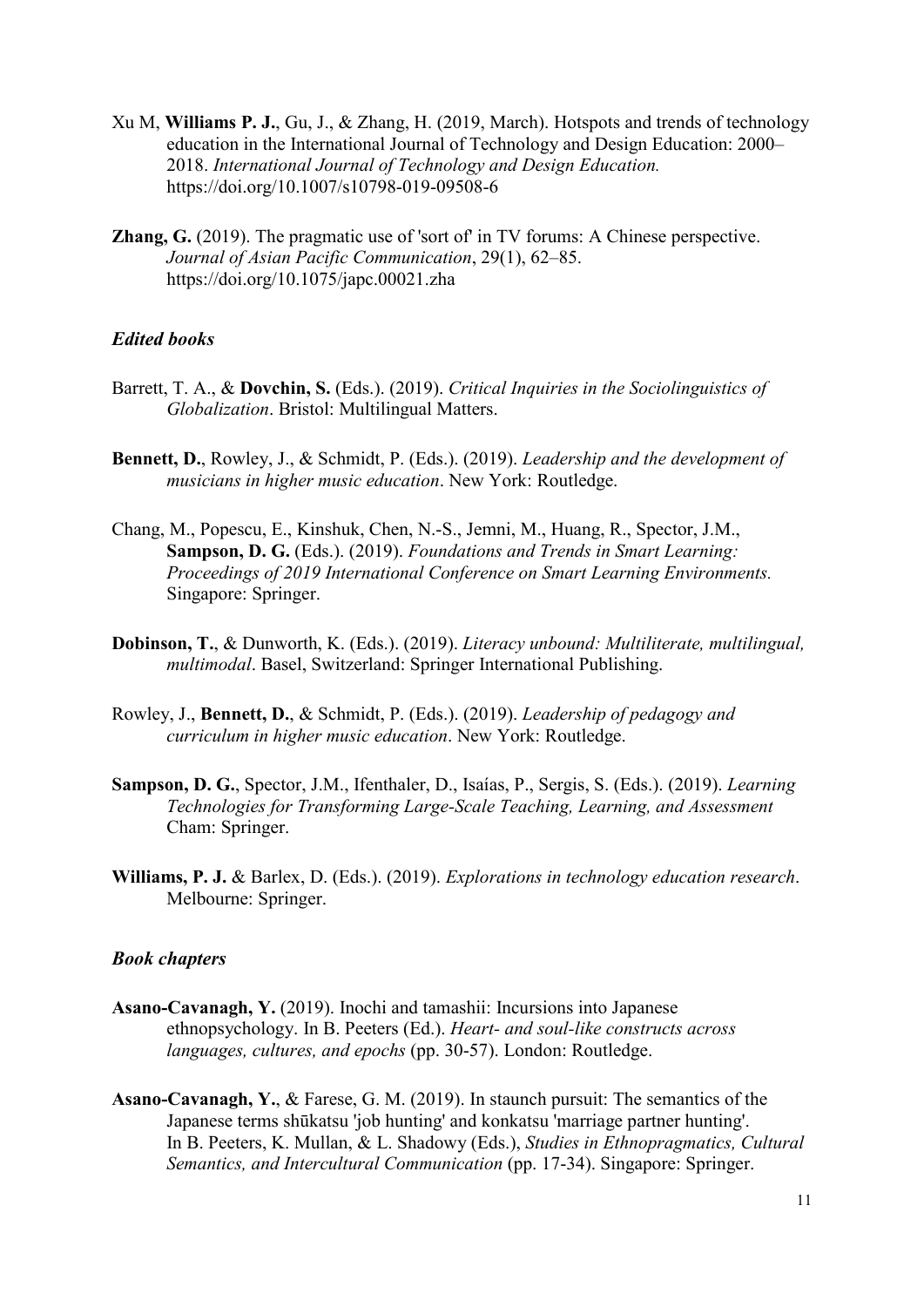- Xu M, **Williams P. J.**, Gu, J., & Zhang, H. (2019, March). Hotspots and trends of technology education in the International Journal of Technology and Design Education: 2000– 2018. *International Journal of Technology and Design Education.*  <https://doi.org/10.1007/s10798-019-09508-6>
- **Zhang, G.** (2019). The pragmatic use of 'sort of' in TV forums: A Chinese perspective. *Journal of Asian Pacific Communication*, 29(1), 62–85. https://doi.org/10.1075/japc.00021.zha

#### *Edited books*

- Barrett, T. A., & **Dovchin, S.** (Eds.). (2019). *Critical Inquiries in the Sociolinguistics of Globalization*. Bristol: Multilingual Matters.
- **Bennett, D.**, Rowley, J., & Schmidt, P. (Eds.). (2019). *[Leadership and the development of](https://www.routledge.com/Leadership-and-Musician-Development-in-Higher-Music-Education-1st-Edition/Bennett-Rowley-Schmidt/p/book/9781138587472)  [musicians in higher music education](https://www.routledge.com/Leadership-and-Musician-Development-in-Higher-Music-Education-1st-Edition/Bennett-Rowley-Schmidt/p/book/9781138587472)*. New York: Routledge.
- Chang, M., Popescu, E., Kinshuk, Chen, N.-S., Jemni, M., Huang, R., Spector, J.M., **Sampson, D. G.** (Eds.). (2019). *Foundations and Trends in Smart Learning: Proceedings of 2019 International Conference on Smart Learning Environments.*  Singapore: Springer.
- **Dobinson, T.**, & Dunworth, K. (Eds.). (2019). *Literacy unbound: Multiliterate, multilingual, multimodal*. Basel, Switzerland: Springer International Publishing.
- Rowley, J., **Bennett, D.**, & Schmidt, P. (Eds.). (2019). *[Leadership of pedagogy and](https://www.routledge.com/Leadership-of-Pedagogy-and-Curriculum-in-Higher-Music-Education/Rowley-Bennett-Schmidt/p/book/9780367077334)  [curriculum in higher music education](https://www.routledge.com/Leadership-of-Pedagogy-and-Curriculum-in-Higher-Music-Education/Rowley-Bennett-Schmidt/p/book/9780367077334)*. New York: Routledge.
- **Sampson, D. G.**, Spector, J.M., Ifenthaler, D., Isaías, P., Sergis, S. (Eds.). (2019). *Learning Technologies for Transforming Large-Scale Teaching, Learning, and Assessment* Cham: Springer.
- **Williams, P. J.** & Barlex, D. (Eds.). (2019). *Explorations in technology education research*. Melbourne: Springer.

#### *Book chapters*

- **Asano-Cavanagh, Y.** (2019). Inochi and tamashii: Incursions into Japanese ethnopsychology. In B. Peeters (Ed.). *Heart- and soul-like constructs across languages, cultures, and epochs* (pp. 30-57). London: Routledge.
- **Asano-Cavanagh, Y.**, & Farese, G. M. (2019). [In staunch pursuit: The semantics of the](http://doi.org/10.1007/978-981-32-9975-7)  Japanese terms shūkatsu ['job hunting' and konkatsu](http://doi.org/10.1007/978-981-32-9975-7) 'marriage partner hunting'. In B. Peeters, K. Mullan, & L. Shadowy (Eds.), *Studies in Ethnopragmatics, Cultural Semantics, and Intercultural Communication* (pp. 17-34). Singapore: Springer.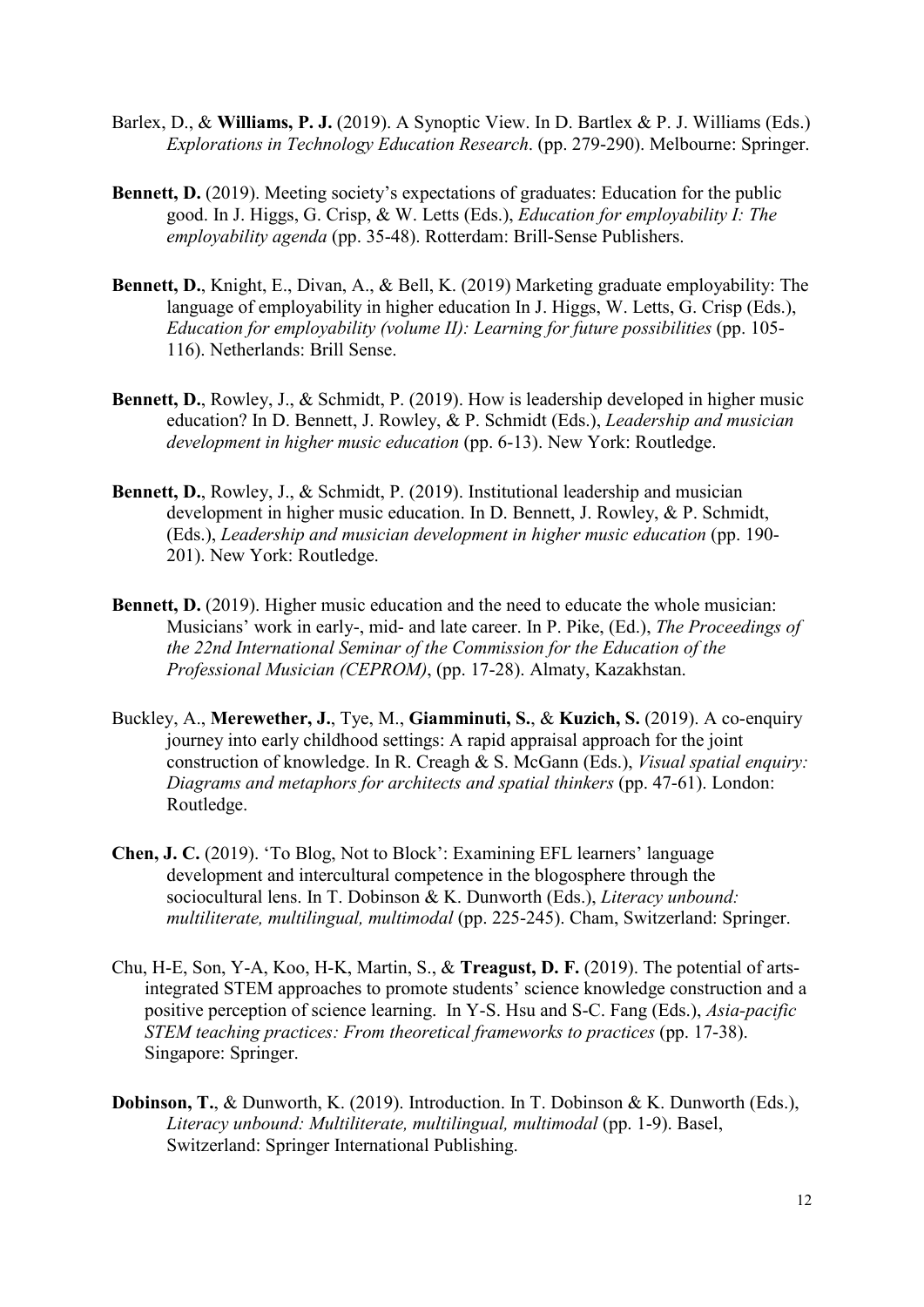- Barlex, D., & **Williams, P. J.** (2019). A Synoptic View. In D. Bartlex & P. J. Williams (Eds.) *Explorations in Technology Education Research*. (pp. 279-290). Melbourne: Springer.
- **Bennett, D.** (2019). Meeting society's expectations of graduates: Education for the public good. In J. Higgs, G. Crisp, & W. Letts (Eds.), *Education for employability I: The employability agenda* (pp. 35-48). Rotterdam: Brill-Sense Publishers.
- **Bennett, D.**, Knight, E., Divan, A., & Bell, K. (2019) Marketing graduate employability: The language of employability in higher education In J. Higgs, W. Letts, G. Crisp (Eds.), *Education for employability (volume II): Learning for future possibilities* (pp. 105- 116). Netherlands: Brill Sense.
- **Bennett, D.**, Rowley, J., & Schmidt, P. (2019). How is leadership developed in higher music education? In D. Bennett, J. Rowley, & P. Schmidt (Eds.), *Leadership and musician development in higher music education* (pp. 6-13). New York: Routledge.
- **Bennett, D.**, Rowley, J., & Schmidt, P. (2019). Institutional leadership and musician development in higher music education. In D. Bennett, J. Rowley, & P. Schmidt, (Eds.), *Leadership and musician development in higher music education* (pp. 190- 201). New York: Routledge.
- **Bennett, D.** (2019). Higher music education and the need to educate the whole musician: Musicians' work in early-, mid- and late career. In P. Pike, (Ed.), *The Proceedings of the 22nd International Seminar of the Commission for the Education of the Professional Musician (CEPROM)*, (pp. 17-28). Almaty, Kazakhstan.
- Buckley, A., **Merewether, J.**, Tye, M., **Giamminuti, S.**, & **Kuzich, S.** (2019). A co-enquiry journey into early childhood settings: A rapid appraisal approach for the joint construction of knowledge. In R. Creagh & S. McGann (Eds.), *Visual spatial enquiry: Diagrams and metaphors for architects and spatial thinkers* (pp. 47-61). London: Routledge.
- **Chen, J. C.** (2019). 'To Blog, Not to Block': Examining EFL learners' language development and intercultural competence in the blogosphere through the sociocultural lens. In T. Dobinson & K. Dunworth (Eds.), *Literacy unbound: multiliterate, multilingual, multimodal* (pp. 225-245). Cham, Switzerland: Springer.
- Chu, H-E, Son, Y-A, Koo, H-K, Martin, S., & **Treagust, D. F.** (2019). The potential of artsintegrated STEM approaches to promote students' science knowledge construction and a positive perception of science learning. In Y-S. Hsu and S-C. Fang (Eds.), *Asia-pacific STEM teaching practices: From theoretical frameworks to practices (pp. 17-38).* Singapore: Springer.
- **Dobinson, T.**, & Dunworth, K. (2019). Introduction. In T. Dobinson & K. Dunworth (Eds.), *Literacy unbound: Multiliterate, multilingual, multimodal* (pp. 1-9). Basel, Switzerland: Springer International Publishing.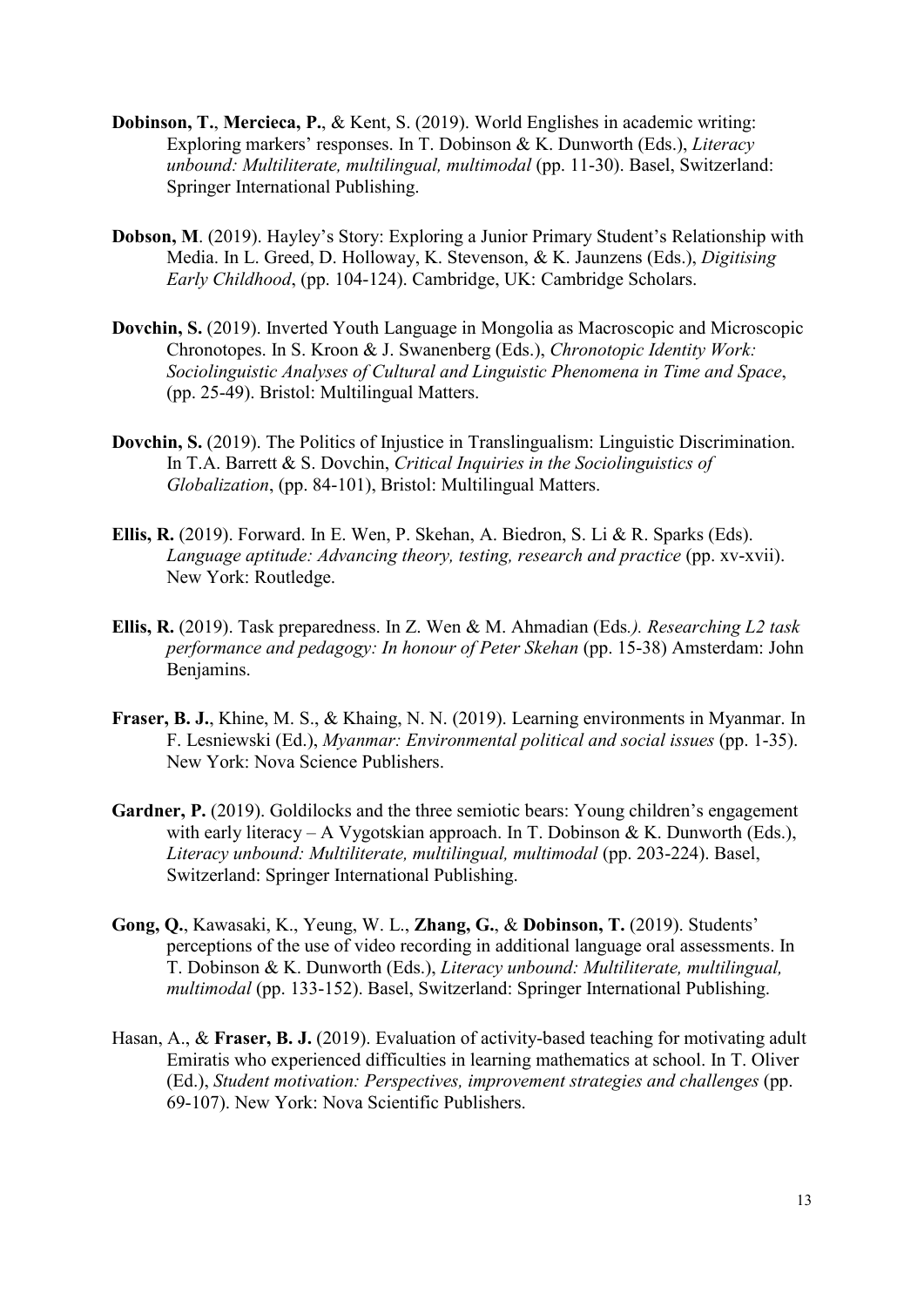- **Dobinson, T.**, **Mercieca, P.**, & Kent, S. (2019). World Englishes in academic writing: Exploring markers' responses. In T. Dobinson & K. Dunworth (Eds.), *Literacy unbound: Multiliterate, multilingual, multimodal* (pp. 11-30). Basel, Switzerland: Springer International Publishing.
- **Dobson, M**. (2019). Hayley's Story: Exploring a Junior Primary Student's Relationship with Media. In L. Greed, D. Holloway, K. Stevenson, & K. Jaunzens (Eds.), *Digitising Early Childhood*, (pp. 104-124). Cambridge, UK: Cambridge Scholars.
- **Dovchin, S.** (2019). Inverted Youth Language in Mongolia as Macroscopic and Microscopic Chronotopes. In S. Kroon & J. Swanenberg (Eds.), *Chronotopic Identity Work: Sociolinguistic Analyses of Cultural and Linguistic Phenomena in Time and Space*, (pp. 25-49). Bristol: Multilingual Matters.
- **Dovchin, S.** (2019). The Politics of Injustice in Translingualism: Linguistic Discrimination. In T.A. Barrett & S. Dovchin, *Critical Inquiries in the Sociolinguistics of Globalization*, (pp. 84-101), Bristol: Multilingual Matters.
- **Ellis, R.** (2019). Forward. In E. Wen, P. Skehan, A. Biedron, S. Li & R. Sparks (Eds). *Language aptitude: Advancing theory, testing, research and practice* (pp. xv-xvii). New York: Routledge.
- **Ellis, R.** (2019). Task preparedness. In Z. Wen & M. Ahmadian (Eds*.). Researching L2 task performance and pedagogy: In honour of Peter Skehan* (pp. 15-38) Amsterdam: John Benjamins.
- **Fraser, B. J.**, Khine, M. S., & Khaing, N. N. (2019). Learning environments in Myanmar. In F. Lesniewski (Ed.), *Myanmar: Environmental political and social issues* (pp. 1-35). New York: Nova Science Publishers.
- Gardner, P. (2019). Goldilocks and the three semiotic bears: Young children's engagement with early literacy – A Vygotskian approach. In T. Dobinson & K. Dunworth (Eds.), Literacy unbound: Multiliterate, multilingual, multimodal (pp. 203-224). Basel, Switzerland: Springer International Publishing.
- **Gong, Q.**, Kawasaki, K., Yeung, W. L., **Zhang, G.**, & **Dobinson, T.** (2019). Students' perceptions of the use of video recording in additional language oral assessments. In T. Dobinson & K. Dunworth (Eds.), *Literacy unbound: Multiliterate, multilingual, multimodal* (pp. 133-152). Basel, Switzerland: Springer International Publishing.
- Hasan, A., & **Fraser, B. J.** (2019). Evaluation of activity-based teaching for motivating adult Emiratis who experienced difficulties in learning mathematics at school. In T. Oliver (Ed.), *Student motivation: Perspectives, improvement strategies and challenges* (pp. 69-107). New York: Nova Scientific Publishers.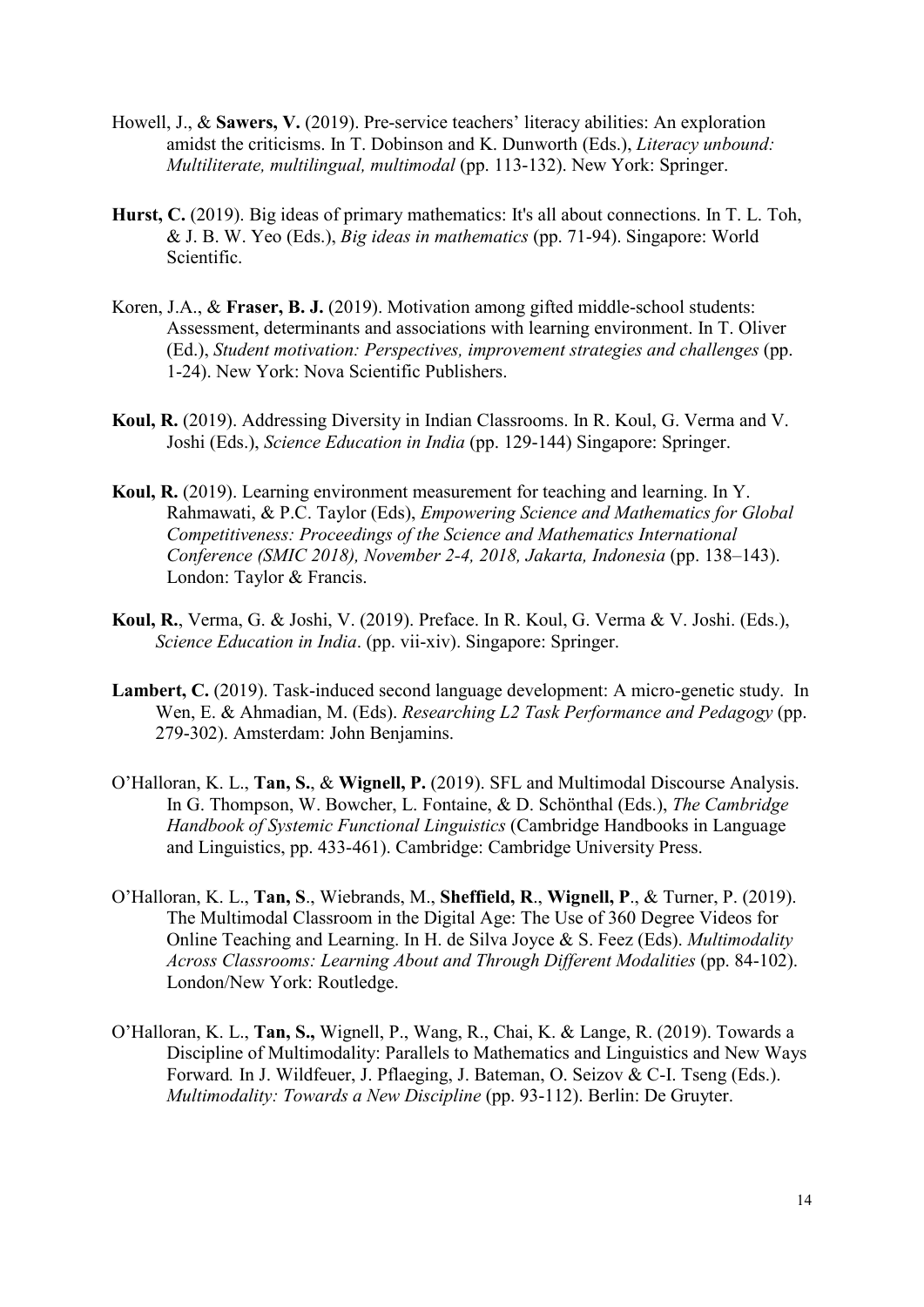- Howell, J., & **Sawers, V.** (2019). Pre-service teachers' literacy abilities: An exploration amidst the criticisms. In T. Dobinson and K. Dunworth (Eds.), *Literacy unbound: Multiliterate, multilingual, multimodal* (pp. 113-132). New York: Springer.
- **Hurst, C.** (2019). Big ideas of primary mathematics: It's all about connections. In T. L. Toh, & J. B. W. Yeo (Eds.), *Big ideas in mathematics* (pp. 71-94). Singapore: World Scientific.
- Koren, J.A., & **Fraser, B. J.** (2019). Motivation among gifted middle-school students: Assessment, determinants and associations with learning environment. In T. Oliver (Ed.), *Student motivation: Perspectives, improvement strategies and challenges* (pp. 1-24). New York: Nova Scientific Publishers.
- **Koul, R.** (2019). Addressing Diversity in Indian Classrooms. In R. Koul, G. Verma and V. Joshi (Eds.), *Science Education in India* (pp. 129-144) Singapore: Springer.
- **Koul, R.** (2019). Learning environment measurement for teaching and learning. In Y. Rahmawati, & P.C. Taylor (Eds), *Empowering Science and Mathematics for Global Competitiveness: Proceedings of the Science and Mathematics International Conference (SMIC 2018), November 2-4, 2018, Jakarta, Indonesia* (pp. 138–143). London: Taylor & Francis.
- **Koul, R.**, Verma, G. & Joshi, V. (2019). Preface. In R. Koul, G. Verma & V. Joshi. (Eds.), *Science Education in India*. (pp. vii-xiv). Singapore: Springer.
- Lambert, C. (2019). Task-induced second language development: A micro-genetic study. In Wen, E. & Ahmadian, M. (Eds). *Researching L2 Task Performance and Pedagogy* (pp. 279-302). Amsterdam: John Benjamins.
- O'Halloran, K. L., **Tan, S.**, & **Wignell, P.** (2019). SFL and Multimodal Discourse Analysis. In G. Thompson, W. Bowcher, L. Fontaine, & D. Schönthal (Eds.), *The Cambridge Handbook of Systemic Functional Linguistics* (Cambridge Handbooks in Language and Linguistics, pp. 433-461). Cambridge: Cambridge University Press.
- O'Halloran, K. L., **Tan, S**., Wiebrands, M., **Sheffield, R**., **Wignell, P**., & Turner, P. (2019). The Multimodal Classroom in the Digital Age: The Use of 360 Degree Videos for Online Teaching and Learning. In H. de Silva Joyce & S. Feez (Eds). *Multimodality Across Classrooms: Learning About and Through Different Modalities* (pp. 84-102). London/New York: Routledge.
- O'Halloran, K. L., **Tan, S.,** Wignell, P., Wang, R., Chai, K. & Lange, R. (2019). Towards a Discipline of Multimodality: Parallels to Mathematics and Linguistics and New Ways Forward*.* In J. Wildfeuer, J. Pflaeging, J. Bateman, O. Seizov & C-I. Tseng (Eds.). *Multimodality: Towards a New Discipline* (pp. 93-112). Berlin: De Gruyter.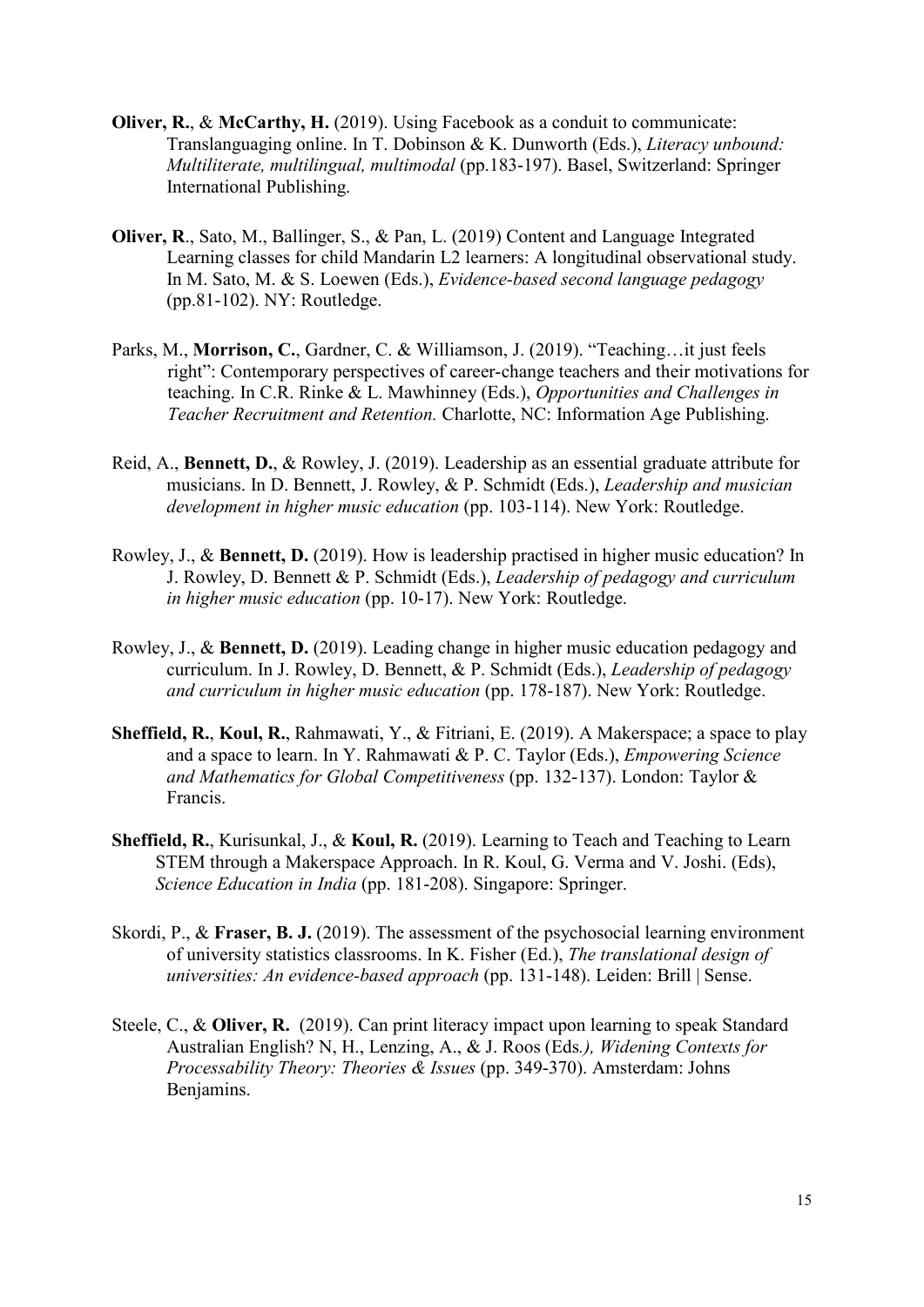- **Oliver, R., & McCarthy, H.** (2019). Using Facebook as a conduit to communicate: Translanguaging online. In T. Dobinson & K. Dunworth (Eds.), *Literacy unbound: Multiliterate, multilingual, multimodal* (pp.183-197). Basel, Switzerland: Springer International Publishing.
- **Oliver, R**., Sato, M., Ballinger, S., & Pan, L. (2019) Content and Language Integrated Learning classes for child Mandarin L2 learners: A longitudinal observational study. In M. Sato, M. & S. Loewen (Eds.), *Evidence-based second language pedagogy* (pp.81-102). NY: Routledge.
- Parks, M., **Morrison, C.**, Gardner, C. & Williamson, J. (2019). "Teaching…it just feels right": Contemporary perspectives of career-change teachers and their motivations for teaching. In C.R. Rinke & L. Mawhinney (Eds.), *Opportunities and Challenges in Teacher Recruitment and Retention.* Charlotte, NC: Information Age Publishing.
- Reid, A., **Bennett, D.**, & Rowley, J. (2019). Leadership as an essential graduate attribute for musicians. In D. Bennett, J. Rowley, & P. Schmidt (Eds.), *Leadership and musician development in higher music education* (pp. 103-114). New York: Routledge.
- Rowley, J., & **Bennett, D.** (2019). How is leadership practised in higher music education? In J. Rowley, D. Bennett & P. Schmidt (Eds.), *Leadership of pedagogy and curriculum in higher music education* (pp. 10-17). New York: Routledge.
- Rowley, J., & **Bennett, D.** (2019). Leading change in higher music education pedagogy and curriculum. In J. Rowley, D. Bennett, & P. Schmidt (Eds.), *Leadership of pedagogy and curriculum in higher music education* (pp. 178-187). New York: Routledge.
- **Sheffield, R.**, **Koul, R.**, Rahmawati, Y., & Fitriani, E. (2019). A Makerspace; a space to play and a space to learn. In Y. Rahmawati & P. C. Taylor (Eds.), *Empowering Science and Mathematics for Global Competitiveness* (pp. 132-137). London: Taylor & Francis.
- **Sheffield, R.**, Kurisunkal, J., & **Koul, R.** (2019). Learning to Teach and Teaching to Learn STEM through a Makerspace Approach. In R. Koul, G. Verma and V. Joshi. (Eds), *Science Education in India* (pp. 181-208). Singapore: Springer.
- Skordi, P., & **Fraser, B. J.** (2019). The assessment of the psychosocial learning environment of university statistics classrooms. In K. Fisher (Ed.), *The translational design of universities: An evidence-based approach* (pp. 131-148). Leiden: Brill | Sense.
- Steele, C., & **Oliver, R.** (2019). Can print literacy impact upon learning to speak Standard Australian English? N, H., Lenzing, A., & J. Roos (Eds*.), Widening Contexts for Processability Theory: Theories & Issues* (pp. 349-370). Amsterdam: Johns Benjamins.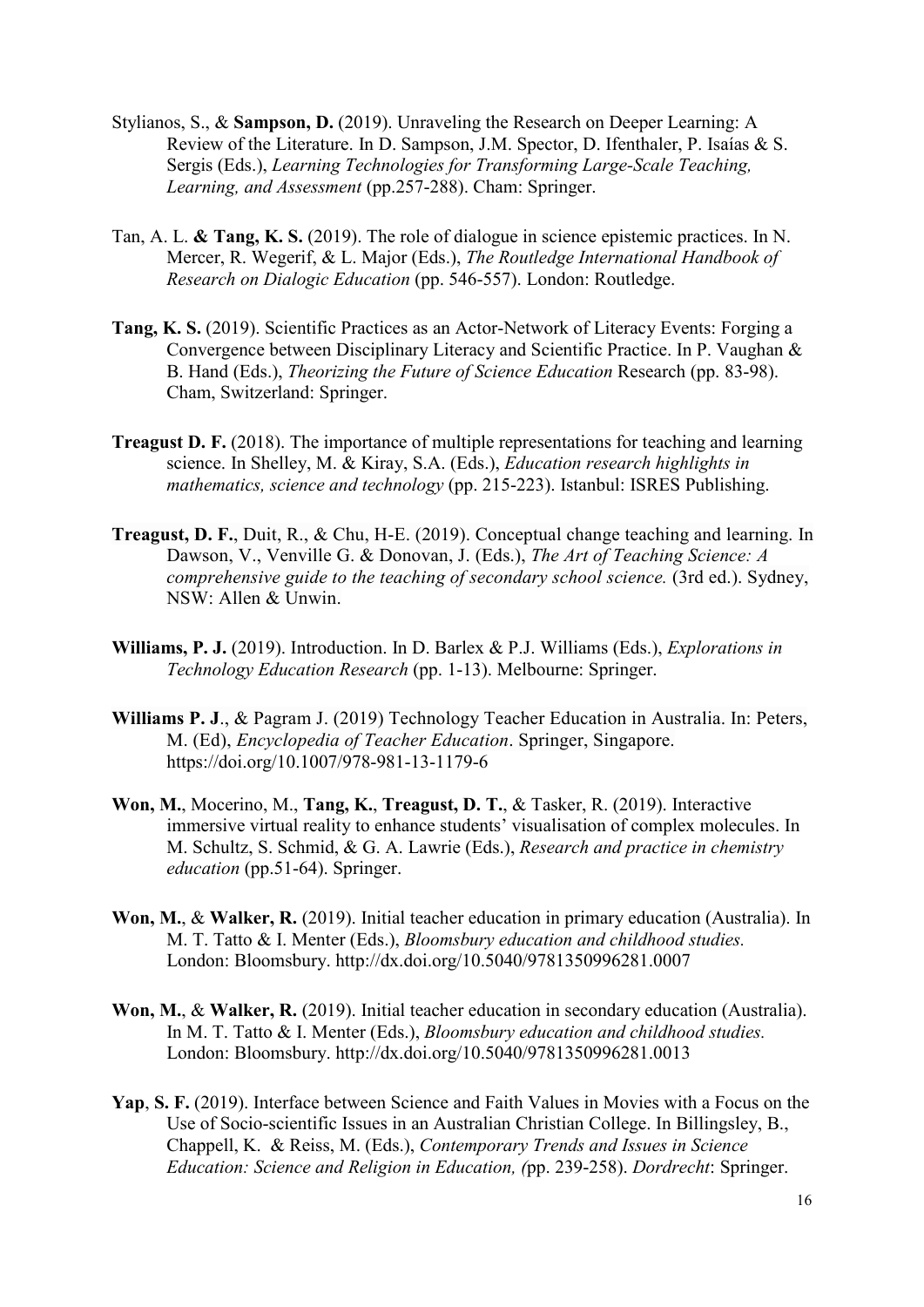- Stylianos, S., & **Sampson, D.** (2019). Unraveling the Research on Deeper Learning: A Review of the Literature. In D. Sampson, J.M. Spector, D. Ifenthaler, P. Isaías & S. Sergis (Eds.), *Learning Technologies for Transforming Large-Scale Teaching, Learning, and Assessment* (pp.257-288). Cham: Springer.
- Tan, A. L. **& Tang, K. S.** (2019). The role of dialogue in science epistemic practices. In N. Mercer, R. Wegerif, & L. Major (Eds.), *The Routledge International Handbook of Research on Dialogic Education* (pp. 546-557). London: Routledge.
- **Tang, K. S.** (2019). Scientific Practices as an Actor-Network of Literacy Events: Forging a Convergence between Disciplinary Literacy and Scientific Practice. In P. Vaughan & B. Hand (Eds.), *Theorizing the Future of Science Education* Research (pp. 83-98). Cham, Switzerland: Springer.
- **Treagust D. F.** (2018). The importance of multiple representations for teaching and learning science. In Shelley, M. & Kiray, S.A. (Eds.), *Education research highlights in mathematics, science and technology* (pp. 215-223). Istanbul: ISRES Publishing.
- **Treagust, D. F.**, Duit, R., & Chu, H-E. (2019). Conceptual change teaching and learning. In Dawson, V., Venville G. & Donovan, J. (Eds.), *The Art of Teaching Science: A comprehensive guide to the teaching of secondary school science.* (3rd ed.). Sydney, NSW: Allen & Unwin.
- **Williams, P. J.** (2019). Introduction. In D. Barlex & P.J. Williams (Eds.), *Explorations in Technology Education Research* (pp. 1-13). Melbourne: Springer.
- **Williams P. J**., & Pagram J. (2019) Technology Teacher Education in Australia. In: Peters, M. (Ed), *Encyclopedia of Teacher Education*. Springer, Singapore. https://doi.org/10.1007/978-981-13-1179-6
- **Won, M.**, Mocerino, M., **Tang, K.**, **Treagust, D. T.**, & Tasker, R. (2019). Interactive immersive virtual reality to enhance students' visualisation of complex molecules. In M. Schultz, S. Schmid, & G. A. Lawrie (Eds.), *Research and practice in chemistry education* (pp.51-64). Springer.
- **Won, M.**, & **Walker, R.** (2019). Initial teacher education in primary education (Australia). In M. T. Tatto & I. Menter (Eds.), *Bloomsbury education and childhood studies.* London: Bloomsbury. http://dx.doi.org/10.5040/9781350996281.0007
- **Won, M.**, & **Walker, R.** (2019). Initial teacher education in secondary education (Australia). In M. T. Tatto & I. Menter (Eds.), *Bloomsbury education and childhood studies.* London: Bloomsbury.<http://dx.doi.org/10.5040/9781350996281.0013>
- **Yap**, **S. F.** (2019). Interface between Science and Faith Values in Movies with a Focus on the Use of Socio-scientific Issues in an Australian Christian College. In Billingsley, B., Chappell, K. & Reiss, M. (Eds.), *Contemporary Trends and Issues in Science Education: Science and Religion in Education, (*pp. 239-258). *Dordrecht*: Springer.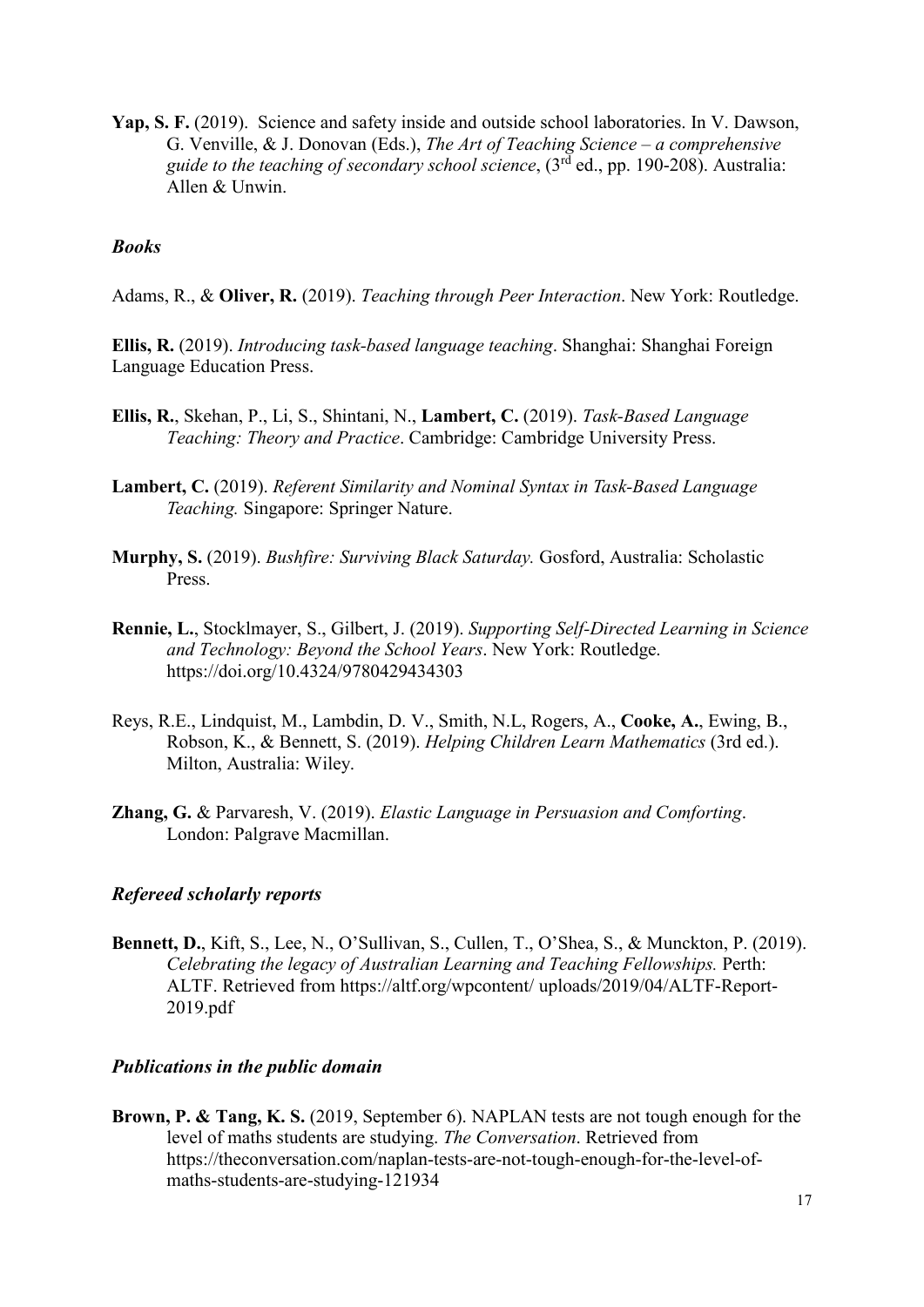**Yap, S. F.** (2019). Science and safety inside and outside school laboratories. In V. Dawson, G. Venville, & J. Donovan (Eds.), *The Art of Teaching Science – a comprehensive guide to the teaching of secondary school science*, (3rd ed., pp. 190-208). Australia: Allen & Unwin.

#### *Books*

Adams, R., & **Oliver, R.** (2019). *Teaching through Peer Interaction*. New York: Routledge.

**Ellis, R.** (2019). *Introducing task-based language teaching*. Shanghai: Shanghai Foreign Language Education Press.

- **Ellis, R.**, Skehan, P., Li, S., Shintani, N., **Lambert, C.** (2019). *Task-Based Language Teaching: Theory and Practice*. Cambridge: Cambridge University Press.
- **Lambert, C.** (2019). *Referent Similarity and Nominal Syntax in Task-Based Language Teaching.* Singapore: Springer Nature.
- **Murphy, S.** (2019). *Bushfire: Surviving Black Saturday.* Gosford, Australia: Scholastic Press.
- **Rennie, L.**, Stocklmayer, S., Gilbert, J. (2019). *Supporting Self-Directed Learning in Science and Technology: Beyond the School Years*. New York: Routledge. https://doi.org/10.4324/9780429434303
- Reys, R.E., Lindquist, M., Lambdin, D. V., Smith, N.L, Rogers, A., **Cooke, A.**, Ewing, B., Robson, K., & Bennett, S. (2019). *Helping Children Learn Mathematics* (3rd ed.). Milton, Australia: Wiley.
- **Zhang, G.** & Parvaresh, V. (2019). *Elastic Language in Persuasion and Comforting*. London: Palgrave Macmillan.

#### *Refereed scholarly reports*

**Bennett, D.**, Kift, S., Lee, N., O'Sullivan, S., Cullen, T., O'Shea, S., & Munckton, P. (2019). *Celebrating the legacy of Australian Learning and Teaching Fellowships.* Perth: ALTF. Retrieved from<https://altf.org/wpcontent/> uploads/2019/04/ALTF-Report-2019.pdf

#### *Publications in the public domain*

**Brown, P. & Tang, K. S.** (2019, September 6). NAPLAN tests are not tough enough for the level of maths students are studying. *The Conversation*. Retrieved from [https://theconversation.com/naplan-tests-are-not-tough-enough-for-the-level-of](https://theconversation.com/naplan-tests-are-not-tough-enough-for-the-level-of-maths-students-are-studying-121934)[maths-students-are-studying-121934](https://theconversation.com/naplan-tests-are-not-tough-enough-for-the-level-of-maths-students-are-studying-121934)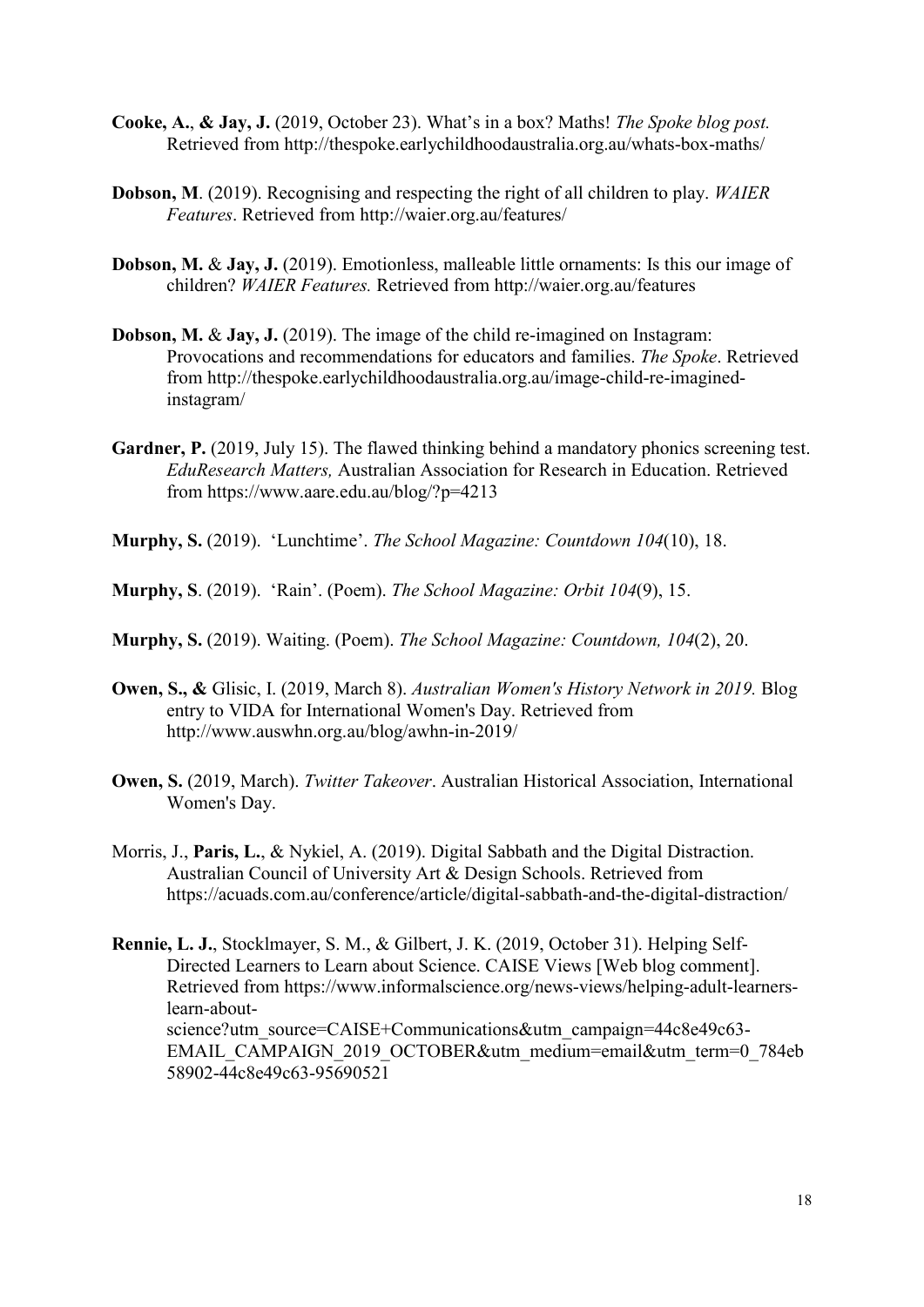- **Cooke, A.**, **& Jay, J.** (2019, October 23). What's in a box? Maths! *The Spoke blog post.* Retrieved from <http://thespoke.earlychildhoodaustralia.org.au/whats-box-maths/>
- **Dobson, M**. (2019). Recognising and respecting the right of all children to play. *WAIER Features*. Retrieved from<http://waier.org.au/features/>
- **Dobson, M.** & **Jay, J.** (2019). Emotionless, malleable little ornaments: Is this our image of children? *WAIER Features.* Retrieved from <http://waier.org.au/features>
- **Dobson, M. & Jay, J.** (2019). The image of the child re-imagined on Instagram: Provocations and recommendations for educators and families. *The Spoke*. Retrieved from [http://thespoke.earlychildhoodaustralia.org.au/image-child-re-imagined](http://thespoke.earlychildhoodaustralia.org.au/image-child-re-imagined-instagram/)[instagram/](http://thespoke.earlychildhoodaustralia.org.au/image-child-re-imagined-instagram/)
- **Gardner, P.** (2019, July 15). The flawed thinking behind a mandatory phonics screening test. *EduResearch Matters,* Australian Association for Research in Education. Retrieved from<https://www.aare.edu.au/blog/?p=4213>
- **Murphy, S.** (2019). 'Lunchtime'. *The School Magazine: Countdown 104*(10), 18.
- **Murphy, S**. (2019). 'Rain'. (Poem). *The School Magazine: Orbit 104*(9), 15.
- **Murphy, S.** (2019). Waiting. (Poem). *The School Magazine: Countdown, 104*(2), 20.
- **Owen, S., &** Glisic, I. (2019, March 8). *Australian Women's History Network in 2019.* Blog entry to VIDA for International Women's Day. Retrieved from <http://www.auswhn.org.au/blog/awhn-in-2019/>
- **Owen, S.** (2019, March). *Twitter Takeover*. Australian Historical Association, International Women's Day.
- Morris, J., **Paris, L.**, & Nykiel, A. (2019). Digital Sabbath and the Digital Distraction. Australian Council of University Art & Design Schools. Retrieved from <https://acuads.com.au/conference/article/digital-sabbath-and-the-digital-distraction/>

**Rennie, L. J.**, Stocklmayer, S. M., & Gilbert, J. K. (2019, October 31). Helping Self-Directed Learners to Learn about Science. CAISE Views [Web blog comment]. Retrieved from [https://www.informalscience.org/news-views/helping-adult-learners](https://www.informalscience.org/news-views/helping-adult-learners-learn-about-science?utm_source=CAISE+Communications&utm_campaign=44c8e49c63-EMAIL_CAMPAIGN_2019_OCTOBER&utm_medium=email&utm_term=0_784eb58902-44c8e49c63-95690521)[learn-about](https://www.informalscience.org/news-views/helping-adult-learners-learn-about-science?utm_source=CAISE+Communications&utm_campaign=44c8e49c63-EMAIL_CAMPAIGN_2019_OCTOBER&utm_medium=email&utm_term=0_784eb58902-44c8e49c63-95690521)[science?utm\\_source=CAISE+Communications&utm\\_campaign=44c8e49c63-](https://www.informalscience.org/news-views/helping-adult-learners-learn-about-science?utm_source=CAISE+Communications&utm_campaign=44c8e49c63-EMAIL_CAMPAIGN_2019_OCTOBER&utm_medium=email&utm_term=0_784eb58902-44c8e49c63-95690521) [EMAIL\\_CAMPAIGN\\_2019\\_OCTOBER&utm\\_medium=email&utm\\_term=0\\_784eb](https://www.informalscience.org/news-views/helping-adult-learners-learn-about-science?utm_source=CAISE+Communications&utm_campaign=44c8e49c63-EMAIL_CAMPAIGN_2019_OCTOBER&utm_medium=email&utm_term=0_784eb58902-44c8e49c63-95690521) [58902-44c8e49c63-95690521](https://www.informalscience.org/news-views/helping-adult-learners-learn-about-science?utm_source=CAISE+Communications&utm_campaign=44c8e49c63-EMAIL_CAMPAIGN_2019_OCTOBER&utm_medium=email&utm_term=0_784eb58902-44c8e49c63-95690521)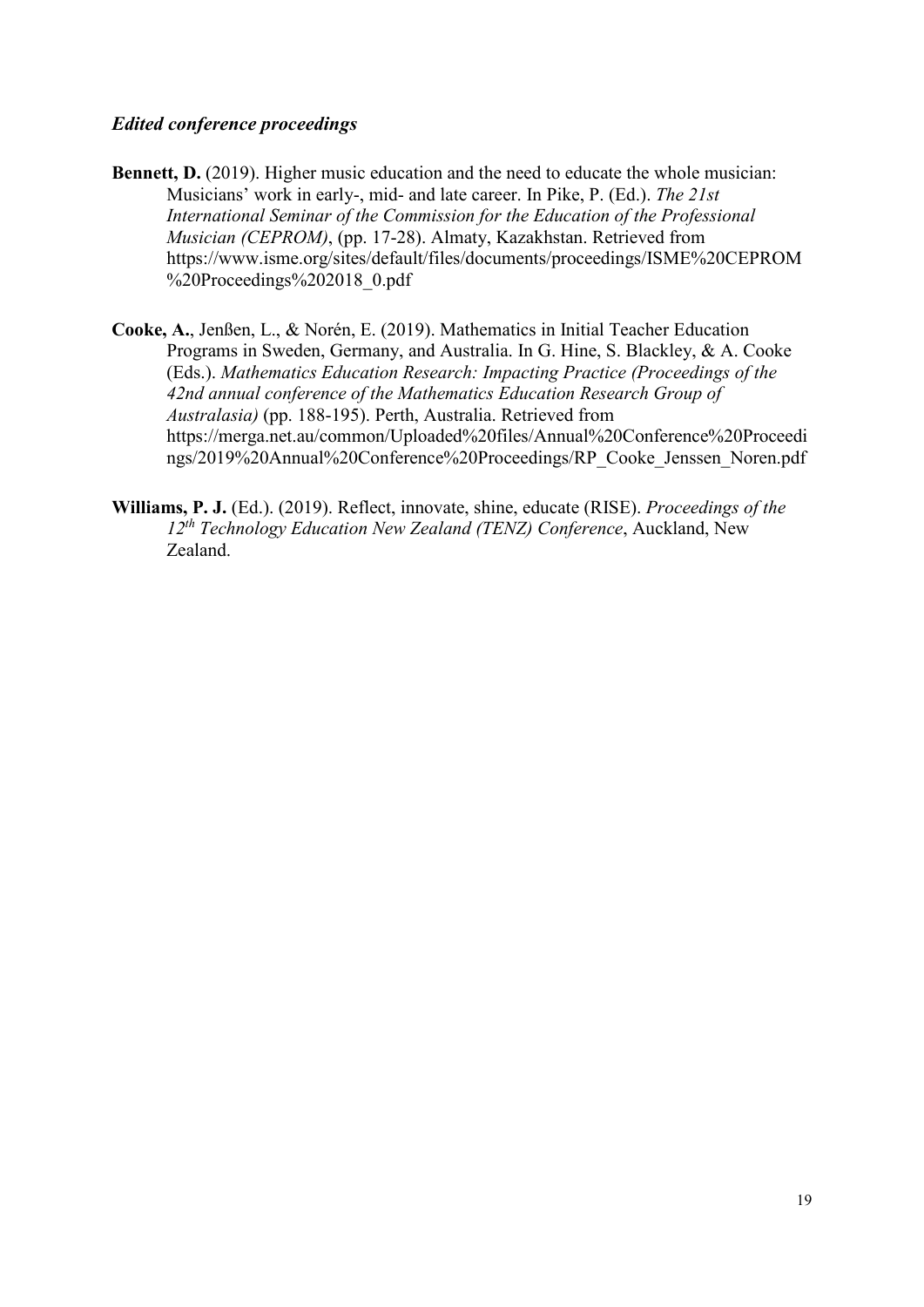### *Edited conference proceedings*

- **Bennett, D.** (2019). Higher music education and the need to educate the whole musician: Musicians' work in early-, mid- and late career. In Pike, P. (Ed.). *The 21st International Seminar of the Commission for the Education of the Professional Musician (CEPROM)*, (pp. 17-28). Almaty, Kazakhstan. Retrieved from [https://www.isme.org/sites/default/files/documents/proceedings/ISME%20CEPROM](https://www.isme.org/sites/default/files/documents/proceedings/ISME%20CEPROM%20Proceedings%202018_0.pdf) [%20Proceedings%202018\\_0.pdf](https://www.isme.org/sites/default/files/documents/proceedings/ISME%20CEPROM%20Proceedings%202018_0.pdf)
- **Cooke, A.**, Jenßen, L., & Norén, E. (2019). Mathematics in Initial Teacher Education Programs in Sweden, Germany, and Australia. In G. Hine, S. Blackley, & A. Cooke (Eds.). *Mathematics Education Research: Impacting Practice (Proceedings of the 42nd annual conference of the Mathematics Education Research Group of Australasia)* (pp. 188-195). Perth, Australia. Retrieved from https://merga.net.au/common/Uploaded%20files/Annual%20Conference%20Proceedi ngs/2019%20Annual%20Conference%20Proceedings/RP\_Cooke\_Jenssen\_Noren.pdf
- **Williams, P. J.** (Ed.). (2019). Reflect, innovate, shine, educate (RISE). *Proceedings of the 12th Technology Education New Zealand (TENZ) Conference*, Auckland, New Zealand.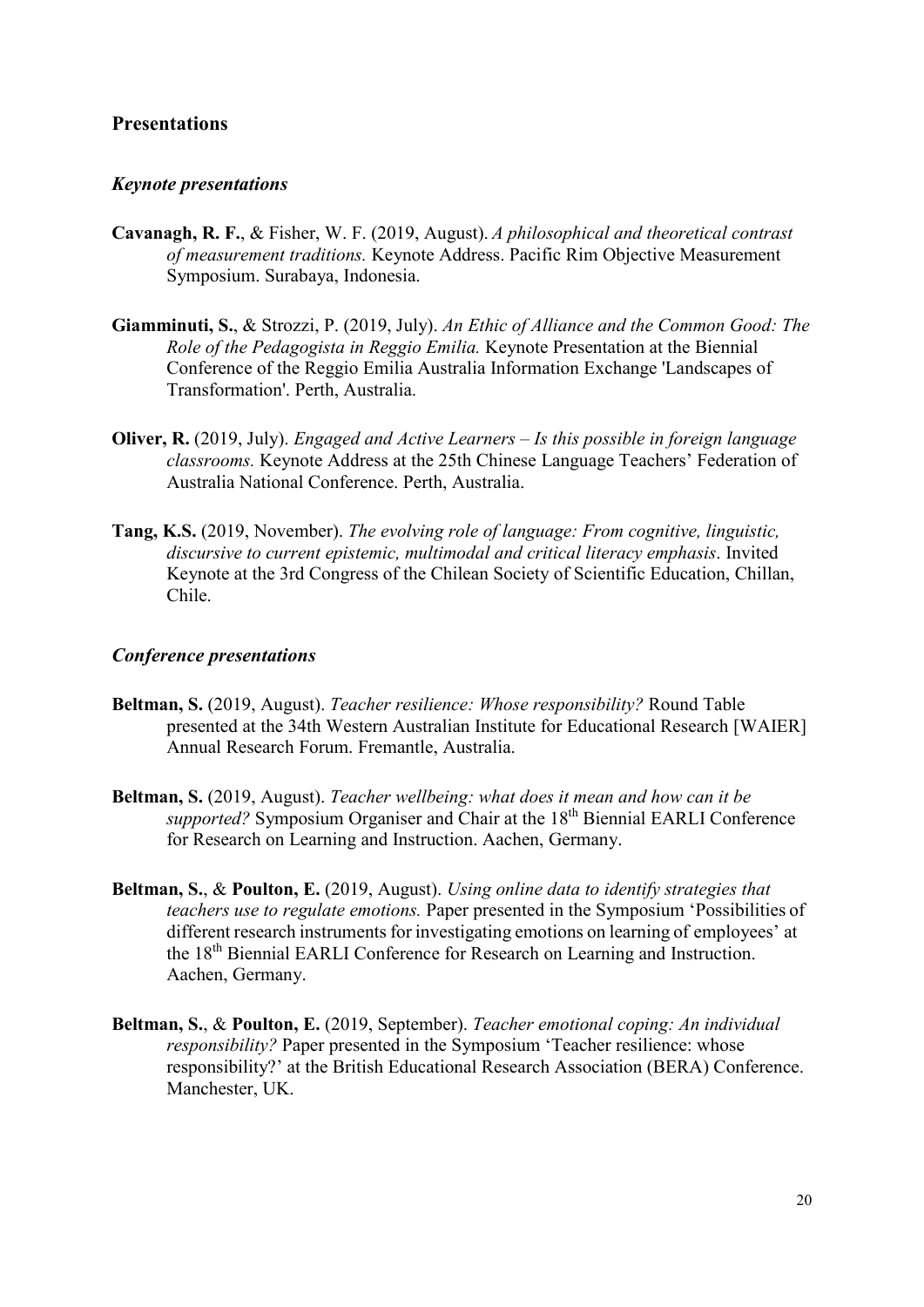# **Presentations**

#### *Keynote presentations*

- **Cavanagh, R. F.**, & Fisher, W. F. (2019, August). *A philosophical and theoretical contrast of measurement traditions.* Keynote Address. Pacific Rim Objective Measurement Symposium. Surabaya, Indonesia.
- **Giamminuti, S.**, & Strozzi, P. (2019, July). *An Ethic of Alliance and the Common Good: The Role of the Pedagogista in Reggio Emilia.* Keynote Presentation at the Biennial Conference of the Reggio Emilia Australia Information Exchange 'Landscapes of Transformation'. Perth, Australia.
- **Oliver, R.** (2019, July). *Engaged and Active Learners – Is this possible in foreign language classrooms.* Keynote Address at the 25th Chinese Language Teachers' Federation of Australia National Conference. Perth, Australia.
- **Tang, K.S.** (2019, November). *The evolving role of language: From cognitive, linguistic, discursive to current epistemic, multimodal and critical literacy emphasis*. Invited Keynote at the 3rd Congress of the Chilean Society of Scientific Education, Chillan, Chile.

#### *Conference presentations*

- **Beltman, S.** (2019, August). *Teacher resilience: Whose responsibility?* Round Table presented at the 34th Western Australian Institute for Educational Research [WAIER] Annual Research Forum. Fremantle, Australia.
- **Beltman, S.** (2019, August). *Teacher wellbeing: what does it mean and how can it be*  supported? Symposium Organiser and Chair at the 18<sup>th</sup> Biennial EARLI Conference for Research on Learning and Instruction. Aachen, Germany.
- **Beltman, S.**, & **Poulton, E.** (2019, August). *Using online data to identify strategies that teachers use to regulate emotions.* Paper presented in the Symposium 'Possibilities of different research instruments for investigating emotions on learning of employees' at the 18th Biennial EARLI Conference for Research on Learning and Instruction. Aachen, Germany.
- **Beltman, S.**, & **Poulton, E.** (2019, September). *Teacher emotional coping: An individual responsibility?* Paper presented in the Symposium 'Teacher resilience: whose responsibility?' at the British Educational Research Association (BERA) Conference. Manchester, UK.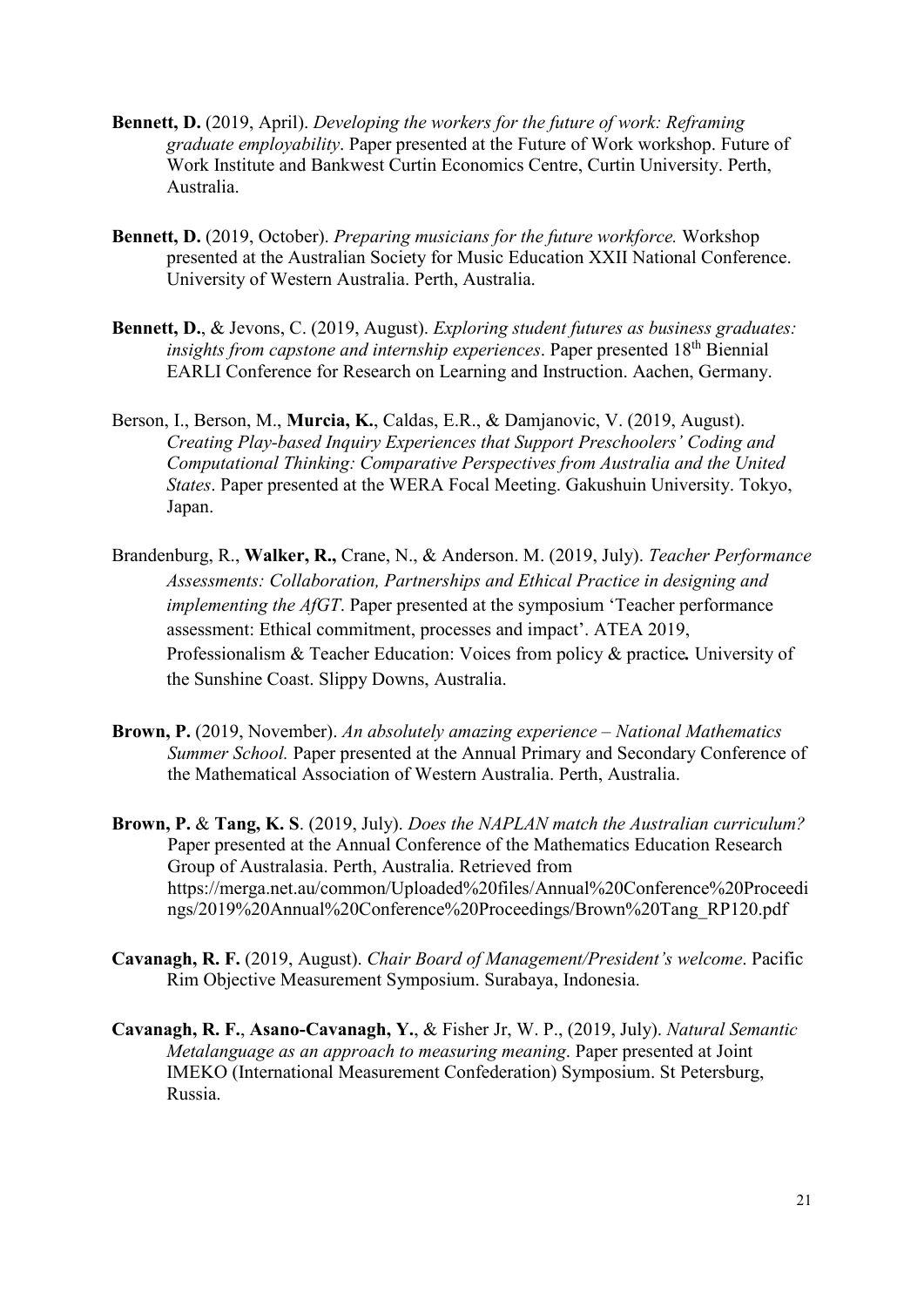- **Bennett, D.** (2019, April). *Developing the workers for the future of work: Reframing graduate employability*. Paper presented at the Future of Work workshop. Future of Work Institute and Bankwest Curtin Economics Centre, Curtin University. Perth, Australia.
- **Bennett, D.** (2019, October). *Preparing musicians for the future workforce.* Workshop presented at the Australian Society for Music Education XXII National Conference. University of Western Australia. Perth, Australia.
- **Bennett, D.**, & Jevons, C. (2019, August). *Exploring student futures as business graduates: insights from capstone and internship experiences*. Paper presented 18<sup>th</sup> Biennial EARLI Conference for Research on Learning and Instruction. Aachen, Germany.
- Berson, I., Berson, M., **Murcia, K.**, Caldas, E.R., & Damjanovic, V. (2019, August). *Creating Play-based Inquiry Experiences that Support Preschoolers' Coding and Computational Thinking: Comparative Perspectives from Australia and the United States*. Paper presented at the WERA Focal Meeting. Gakushuin University. Tokyo, Japan.
- Brandenburg, R., **Walker, R.,** Crane, N., & Anderson. M. (2019, July). *Teacher Performance Assessments: Collaboration, Partnerships and Ethical Practice in designing and implementing the AfGT*. Paper presented at the symposium 'Teacher performance assessment: Ethical commitment, processes and impact'. ATEA 2019, Professionalism & Teacher Education: Voices from policy & practice*.* University of the Sunshine Coast. Slippy Downs, Australia.
- **Brown, P.** (2019, November). *An absolutely amazing experience – National Mathematics Summer School.* Paper presented at the Annual Primary and Secondary Conference of the Mathematical Association of Western Australia. Perth, Australia.
- **Brown, P.** & **Tang, K. S**. (2019, July). *Does the NAPLAN match the Australian curriculum?*  Paper presented at the Annual Conference of the Mathematics Education Research Group of Australasia. Perth, Australia. Retrieved from [https://merga.net.au/common/Uploaded%20files/Annual%20Conference%20Proceedi](https://merga.net.au/common/Uploaded%20files/Annual%20Conference%20Proceedings/2019%20Annual%20Conference%20Proceedings/Brown%20Tang_RP120.pdf) [ngs/2019%20Annual%20Conference%20Proceedings/Brown%20Tang\\_RP120.pdf](https://merga.net.au/common/Uploaded%20files/Annual%20Conference%20Proceedings/2019%20Annual%20Conference%20Proceedings/Brown%20Tang_RP120.pdf)
- **Cavanagh, R. F.** (2019, August). *Chair Board of Management/President's welcome*. Pacific Rim Objective Measurement Symposium. Surabaya, Indonesia.
- **Cavanagh, R. F.**, **Asano-Cavanagh, Y.**, & Fisher Jr, W. P., (2019, July). *Natural Semantic Metalanguage as an approach to measuring meaning*. Paper presented at Joint IMEKO (International Measurement Confederation) Symposium. St Petersburg, Russia.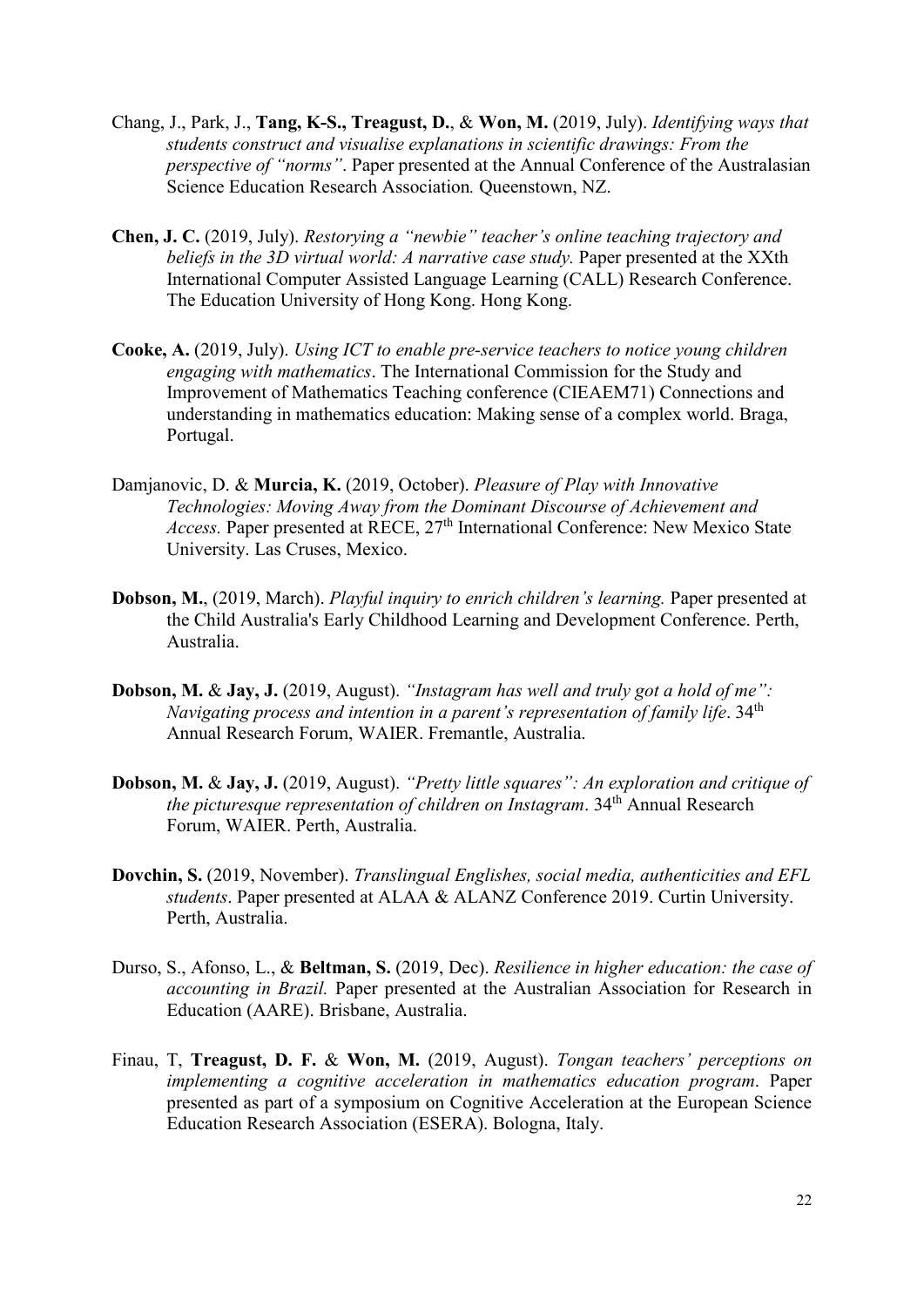- Chang, J., Park, J., **Tang, K-S., Treagust, D.**, & **Won, M.** (2019, July). *Identifying ways that students construct and visualise explanations in scientific drawings: From the perspective of "norms"*. Paper presented at the Annual Conference of the Australasian Science Education Research Association*.* Queenstown, NZ.
- **Chen, J. C.** (2019, July). *Restorying a "newbie" teacher's online teaching trajectory and beliefs in the 3D virtual world: A narrative case study.* Paper presented at the XXth International Computer Assisted Language Learning (CALL) Research Conference. The Education University of Hong Kong. Hong Kong.
- **Cooke, A.** (2019, July). *Using ICT to enable pre-service teachers to notice young children engaging with mathematics*. The International Commission for the Study and Improvement of Mathematics Teaching conference (CIEAEM71) Connections and understanding in mathematics education: Making sense of a complex world. Braga, Portugal.
- Damjanovic, D. & **Murcia, K.** (2019, October). *Pleasure of Play with Innovative Technologies: Moving Away from the Dominant Discourse of Achievement and Access.* Paper presented at RECE, 27<sup>th</sup> International Conference: New Mexico State University. Las Cruses, Mexico.
- **Dobson, M.**, (2019, March). *Playful inquiry to enrich children's learning.* Paper presented at the Child Australia's Early Childhood Learning and Development Conference. Perth, Australia.
- **Dobson, M.** & **Jay, J.** (2019, August). *"Instagram has well and truly got a hold of me": Navigating process and intention in a parent's representation of family life.* 34<sup>th</sup> Annual Research Forum, WAIER. Fremantle, Australia.
- **Dobson, M.** & **Jay, J.** (2019, August). *"Pretty little squares": An exploration and critique of the picturesque representation of children on Instagram.* 34<sup>th</sup> Annual Research Forum, WAIER. Perth, Australia.
- **Dovchin, S.** (2019, November). *Translingual Englishes, social media, authenticities and EFL students*. Paper presented at ALAA & ALANZ Conference 2019. Curtin University. Perth, Australia.
- Durso, S., Afonso, L., & **Beltman, S.** (2019, Dec). *Resilience in higher education: the case of accounting in Brazil.* Paper presented at the Australian Association for Research in Education (AARE). Brisbane, Australia.
- Finau, T, **Treagust, D. F.** & **Won, M.** (2019, August). *Tongan teachers' perceptions on implementing a cognitive acceleration in mathematics education program*. Paper presented as part of a symposium on Cognitive Acceleration at the European Science Education Research Association (ESERA). Bologna, Italy.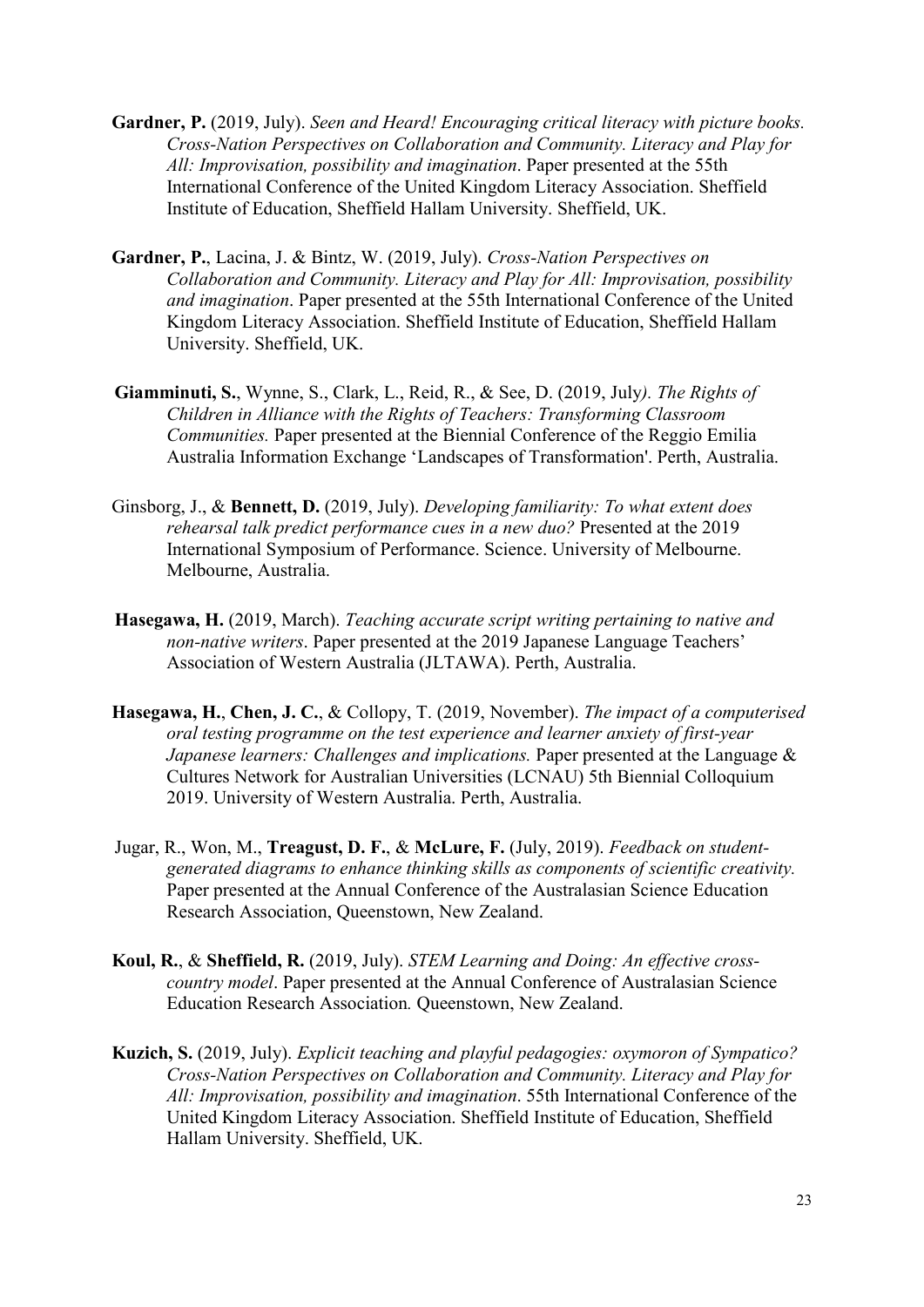- **Gardner, P.** (2019, July). *Seen and Heard! Encouraging critical literacy with picture books. Cross-Nation Perspectives on Collaboration and Community. Literacy and Play for All: Improvisation, possibility and imagination*. Paper presented at the 55th International Conference of the United Kingdom Literacy Association. Sheffield Institute of Education, Sheffield Hallam University. Sheffield, UK.
- **Gardner, P.**, Lacina, J. & Bintz, W. (2019, July). *Cross-Nation Perspectives on Collaboration and Community. Literacy and Play for All: Improvisation, possibility and imagination*. Paper presented at the 55th International Conference of the United Kingdom Literacy Association. Sheffield Institute of Education, Sheffield Hallam University. Sheffield, UK.
- **Giamminuti, S.**, Wynne, S., Clark, L., Reid, R., & See, D. (2019, July*). The Rights of Children in Alliance with the Rights of Teachers: Transforming Classroom Communities.* Paper presented at the Biennial Conference of the Reggio Emilia Australia Information Exchange 'Landscapes of Transformation'. Perth, Australia.
- Ginsborg, J., & **Bennett, D.** (2019, July). *Developing familiarity: To what extent does rehearsal talk predict performance cues in a new duo?* Presented at the 2019 International Symposium of Performance. Science. University of Melbourne. Melbourne, Australia.
- **Hasegawa, H.** (2019, March). *Teaching accurate script writing pertaining to native and non-native writers*. Paper presented at the 2019 Japanese Language Teachers' Association of Western Australia (JLTAWA). Perth, Australia.
- **Hasegawa, H.**, **Chen, J. C.**, & Collopy, T. (2019, November). *The impact of a computerised oral testing programme on the test experience and learner anxiety of first-year Japanese learners: Challenges and implications.* Paper presented at the Language & Cultures Network for Australian Universities (LCNAU) 5th Biennial Colloquium 2019. University of Western Australia. Perth, Australia.
- Jugar, R., Won, M., **Treagust, D. F.**, & **McLure, F.** (July, 2019). *Feedback on studentgenerated diagrams to enhance thinking skills as components of scientific creativity.*  Paper presented at the Annual Conference of the Australasian Science Education Research Association, Queenstown, New Zealand.
- **Koul, R.**, & **Sheffield, R.** (2019, July). *STEM Learning and Doing: An effective crosscountry model*. Paper presented at the Annual Conference of Australasian Science Education Research Association*.* Queenstown, New Zealand.
- **Kuzich, S.** (2019, July). *Explicit teaching and playful pedagogies: oxymoron of Sympatico? Cross-Nation Perspectives on Collaboration and Community. Literacy and Play for All: Improvisation, possibility and imagination*. 55th International Conference of the United Kingdom Literacy Association. Sheffield Institute of Education, Sheffield Hallam University. Sheffield, UK.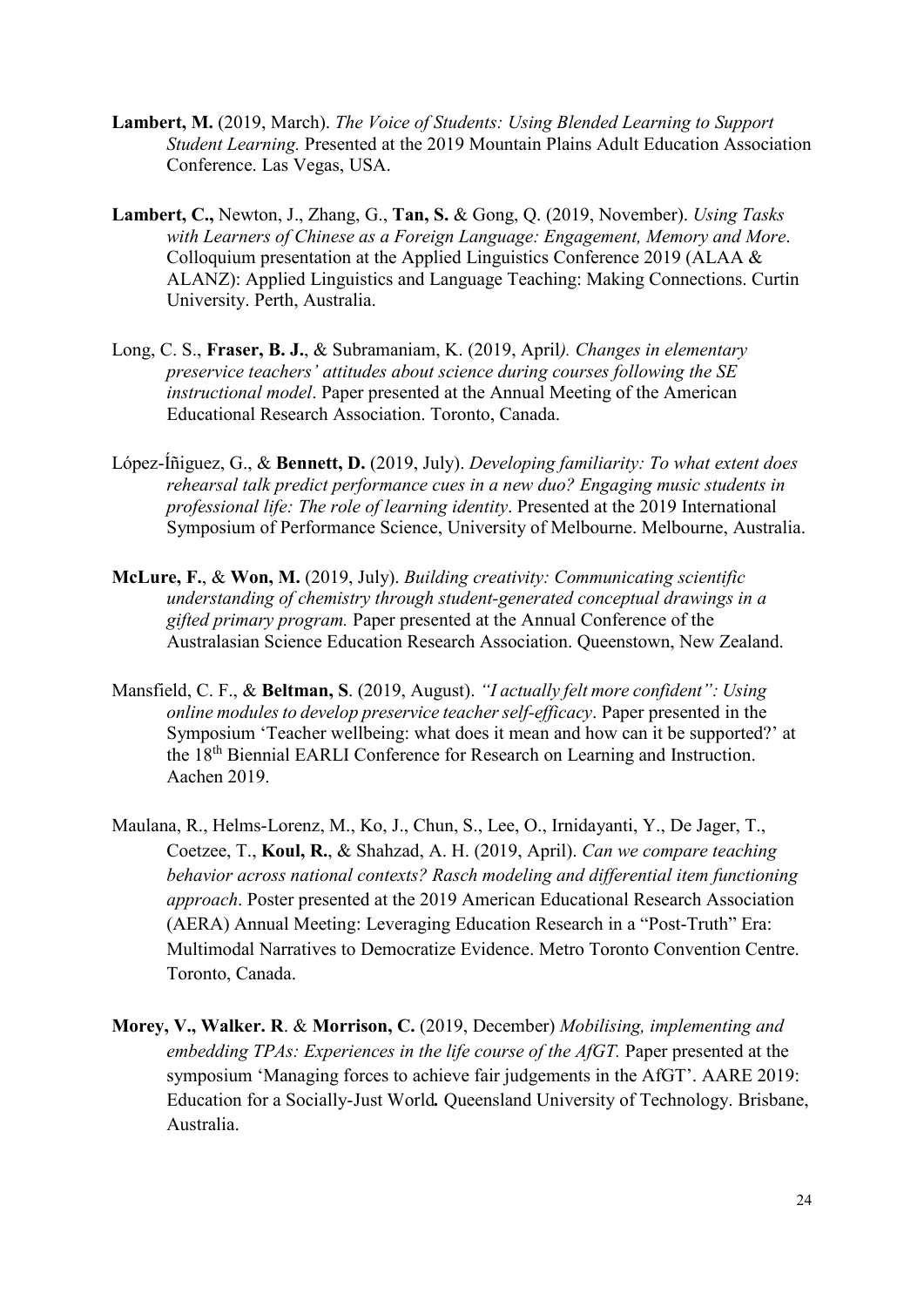- **Lambert, M.** (2019, March). *The Voice of Students: Using Blended Learning to Support Student Learning.* Presented at the 2019 Mountain Plains Adult Education Association Conference. Las Vegas, USA.
- **Lambert, C.,** Newton, J., Zhang, G., **Tan, S.** & Gong, Q. (2019, November). *Using Tasks with Learners of Chinese as a Foreign Language: Engagement, Memory and More*. Colloquium presentation at the Applied Linguistics Conference 2019 (ALAA & ALANZ): Applied Linguistics and Language Teaching: Making Connections. Curtin University. Perth, Australia.
- Long, C. S., **Fraser, B. J.**, & Subramaniam, K. (2019, April*). Changes in elementary preservice teachers' attitudes about science during courses following the SE instructional model*. Paper presented at the Annual Meeting of the American Educational Research Association. Toronto, Canada.
- López-Íñiguez, G., & **Bennett, D.** (2019, July). *Developing familiarity: To what extent does rehearsal talk predict performance cues in a new duo? Engaging music students in professional life: The role of learning identity*. Presented at the 2019 International Symposium of Performance Science, University of Melbourne. Melbourne, Australia.
- **McLure, F.**, & **Won, M.** (2019, July). *Building creativity: Communicating scientific understanding of chemistry through student-generated conceptual drawings in a gifted primary program.* Paper presented at the Annual Conference of the Australasian Science Education Research Association. Queenstown, New Zealand.
- Mansfield, C. F., & **Beltman, S**. (2019, August). *"I actually felt more confident": Using online modules to develop preservice teacher self-efficacy*. Paper presented in the Symposium 'Teacher wellbeing: what does it mean and how can it be supported?' at the 18th Biennial EARLI Conference for Research on Learning and Instruction. Aachen 2019.
- Maulana, R., Helms-Lorenz, M., Ko, J., Chun, S., Lee, O., Irnidayanti, Y., De Jager, T., Coetzee, T., **Koul, R.**, & Shahzad, A. H. (2019, April). *Can we compare teaching behavior across national contexts? Rasch modeling and differential item functioning approach*. Poster presented at the 2019 American Educational Research Association (AERA) Annual Meeting: Leveraging Education Research in a "Post-Truth" Era: Multimodal Narratives to Democratize Evidence. Metro Toronto Convention Centre. Toronto, Canada.
- **Morey, V., Walker. R**. & **Morrison, C.** (2019, December) *Mobilising, implementing and embedding TPAs: Experiences in the life course of the AfGT.* Paper presented at the symposium 'Managing forces to achieve fair judgements in the AfGT'. AARE 2019: Education for a Socially-Just World*.* Queensland University of Technology. Brisbane, Australia.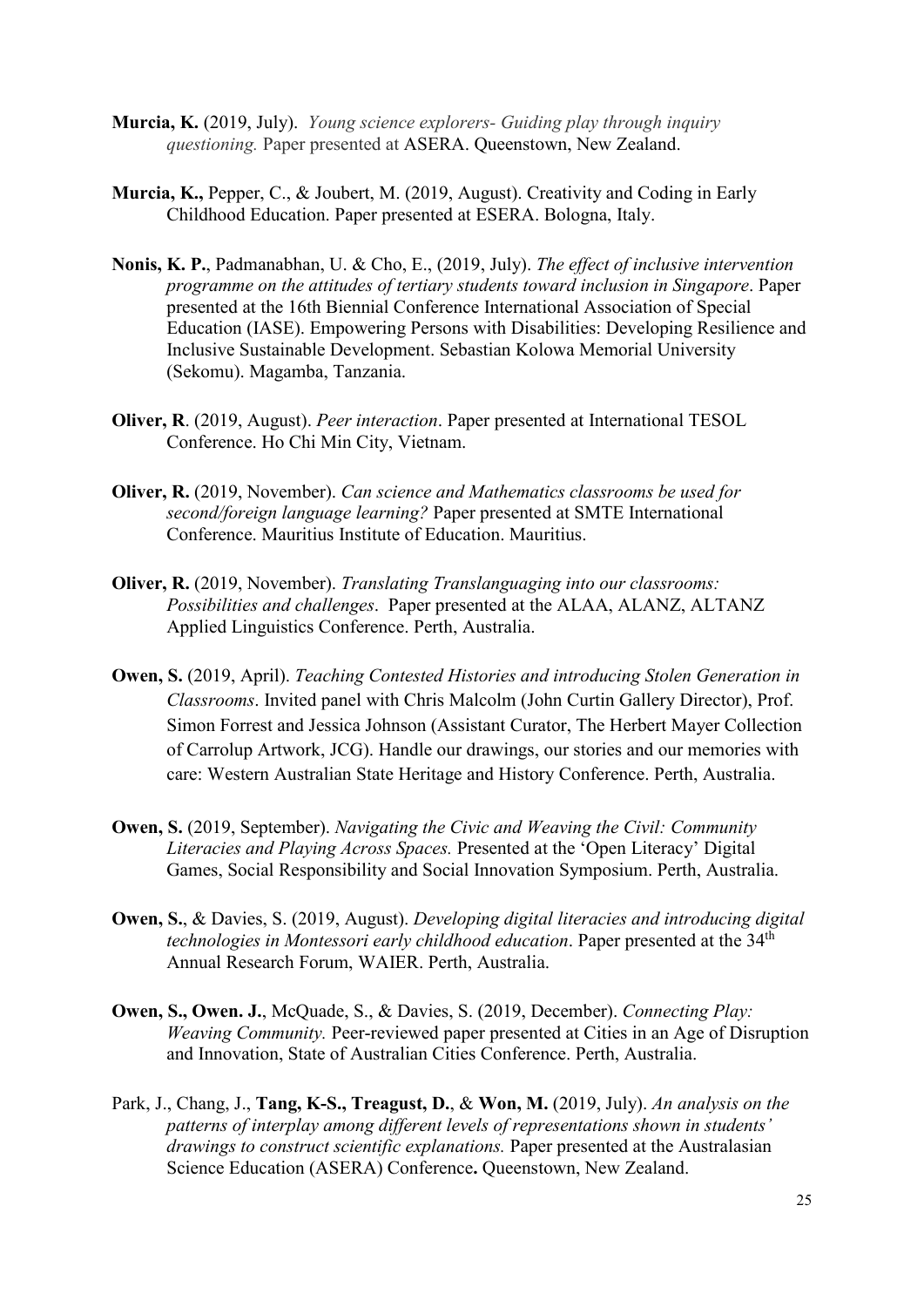- **Murcia, K.** (2019, July). *Young science explorers- Guiding play through inquiry questioning.* Paper presented at ASERA. Queenstown, New Zealand.
- **Murcia, K.,** Pepper, C., & Joubert, M. (2019, August). Creativity and Coding in Early Childhood Education. Paper presented at ESERA. Bologna, Italy.
- **Nonis, K. P.**, Padmanabhan, U. & Cho, E., (2019, July). *The effect of inclusive intervention programme on the attitudes of tertiary students toward inclusion in Singapore*. Paper presented at the 16th Biennial Conference International Association of Special Education (IASE). Empowering Persons with Disabilities: Developing Resilience and Inclusive Sustainable Development. Sebastian Kolowa Memorial University (Sekomu). Magamba, Tanzania.
- **Oliver, R**. (2019, August). *Peer interaction*. Paper presented at International TESOL Conference. Ho Chi Min City, Vietnam.
- **Oliver, R.** (2019, November). *Can science and Mathematics classrooms be used for second/foreign language learning?* Paper presented at SMTE International Conference. Mauritius Institute of Education. Mauritius.
- **Oliver, R.** (2019, November). *Translating Translanguaging into our classrooms: Possibilities and challenges*. Paper presented at the ALAA, ALANZ, ALTANZ Applied Linguistics Conference. Perth, Australia.
- **Owen, S.** (2019, April). *Teaching Contested Histories and introducing Stolen Generation in Classrooms*. Invited panel with Chris Malcolm (John Curtin Gallery Director), Prof. Simon Forrest and Jessica Johnson (Assistant Curator, The Herbert Mayer Collection of Carrolup Artwork, JCG). Handle our drawings, our stories and our memories with care: Western Australian State Heritage and History Conference. Perth, Australia.
- **Owen, S.** (2019, September). *Navigating the Civic and Weaving the Civil: Community Literacies and Playing Across Spaces.* Presented at the 'Open Literacy' Digital Games, Social Responsibility and Social Innovation Symposium. Perth, Australia.
- **Owen, S.**, & Davies, S. (2019, August). *Developing digital literacies and introducing digital technologies in Montessori early childhood education*. Paper presented at the 34<sup>th</sup> Annual Research Forum, WAIER. Perth, Australia.
- **Owen, S., Owen. J.**, McQuade, S., & Davies, S. (2019, December). *Connecting Play: Weaving Community.* Peer-reviewed paper presented at Cities in an Age of Disruption and Innovation, State of Australian Cities Conference. Perth, Australia.
- Park, J., Chang, J., **Tang, K-S., Treagust, D.**, & **Won, M.** (2019, July). *An analysis on the patterns of interplay among different levels of representations shown in students' drawings to construct scientific explanations.* Paper presented at the Australasian Science Education (ASERA) Conference**.** Queenstown, New Zealand.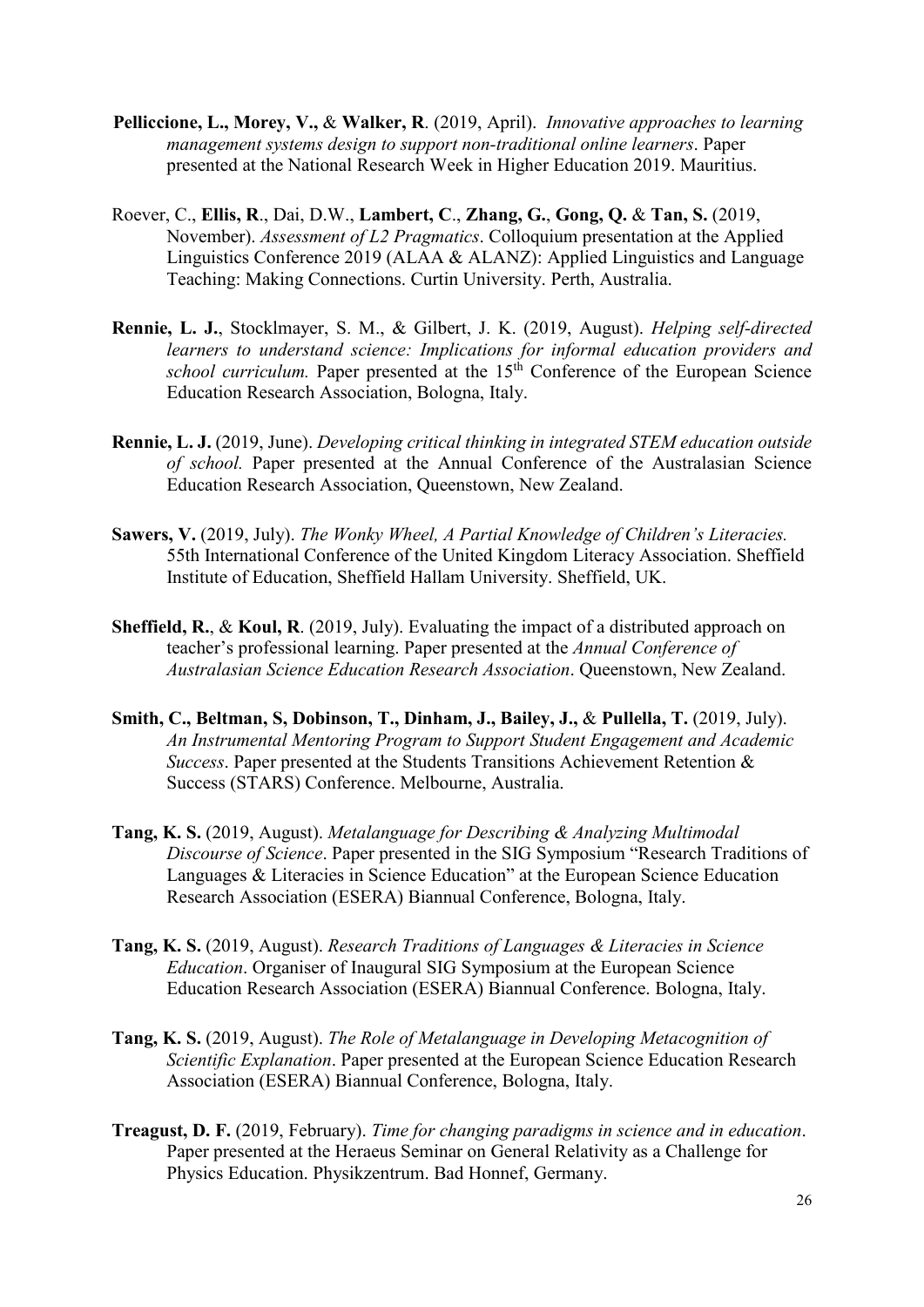- **Pelliccione, L., Morey, V.,** & **Walker, R**. (2019, April). *Innovative approaches to learning management systems design to support non-traditional online learners*. Paper presented at the National Research Week in Higher Education 2019. Mauritius.
- Roever, C., **Ellis, R**., Dai, D.W., **Lambert, C**., **Zhang, G.**, **Gong, Q.** & **Tan, S.** (2019, November). *Assessment of L2 Pragmatics*. Colloquium presentation at the Applied Linguistics Conference 2019 (ALAA & ALANZ): Applied Linguistics and Language Teaching: Making Connections. Curtin University. Perth, Australia.
- **Rennie, L. J.**, Stocklmayer, S. M., & Gilbert, J. K. (2019, August). *Helping self-directed learners to understand science: Implications for informal education providers and school curriculum.* Paper presented at the 15<sup>th</sup> Conference of the European Science Education Research Association, Bologna, Italy.
- **Rennie, L. J.** (2019, June). *Developing critical thinking in integrated STEM education outside of school.* Paper presented at the Annual Conference of the Australasian Science Education Research Association, Queenstown, New Zealand.
- **Sawers, V.** (2019, July). *The Wonky Wheel, A Partial Knowledge of Children's Literacies.*  55th International Conference of the United Kingdom Literacy Association. Sheffield Institute of Education, Sheffield Hallam University. Sheffield, UK.
- **Sheffield, R.**, & **Koul, R**. (2019, July). Evaluating the impact of a distributed approach on teacher's professional learning. Paper presented at the *Annual Conference of Australasian Science Education Research Association*. Queenstown, New Zealand.
- **Smith, C., Beltman, S, Dobinson, T., Dinham, J., Bailey, J.,** & **Pullella, T.** (2019, July). *An Instrumental Mentoring Program to Support Student Engagement and Academic Success*. Paper presented at the Students Transitions Achievement Retention & Success (STARS) Conference. Melbourne, Australia.
- **Tang, K. S.** (2019, August). *Metalanguage for Describing & Analyzing Multimodal Discourse of Science*. Paper presented in the SIG Symposium "Research Traditions of Languages & Literacies in Science Education" at the European Science Education Research Association (ESERA) Biannual Conference, Bologna, Italy.
- **Tang, K. S.** (2019, August). *Research Traditions of Languages & Literacies in Science Education*. Organiser of Inaugural SIG Symposium at the European Science Education Research Association (ESERA) Biannual Conference. Bologna, Italy.
- **Tang, K. S.** (2019, August). *The Role of Metalanguage in Developing Metacognition of Scientific Explanation*. Paper presented at the European Science Education Research Association (ESERA) Biannual Conference, Bologna, Italy.
- **Treagust, D. F.** (2019, February). *Time for changing paradigms in science and in education*. Paper presented at the Heraeus Seminar on General Relativity as a Challenge for Physics Education. Physikzentrum. Bad Honnef, Germany.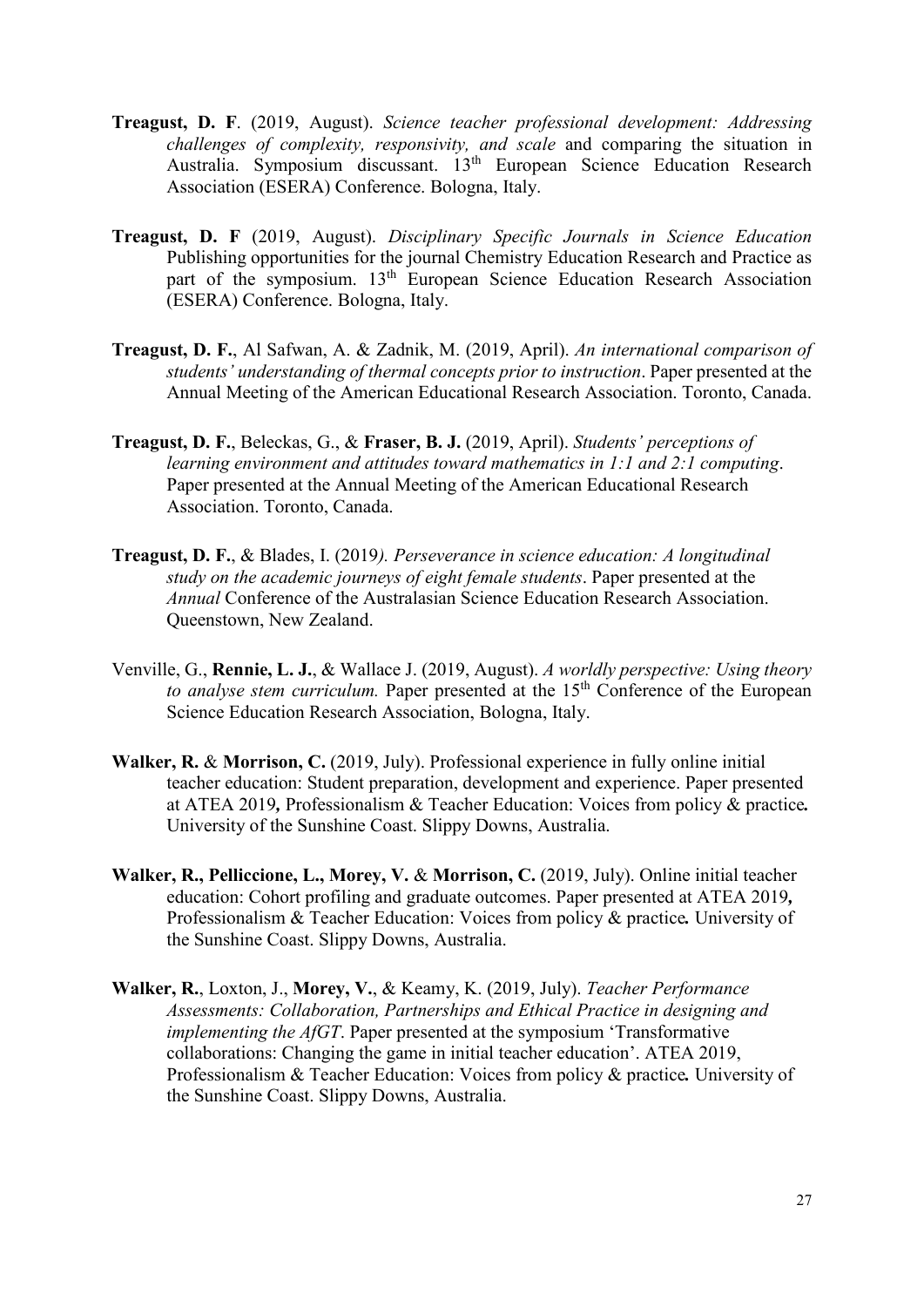- **Treagust, D. F**. (2019, August). *Science teacher professional development: Addressing challenges of complexity, responsivity, and scale* and comparing the situation in Australia. Symposium discussant. 13th European Science Education Research Association (ESERA) Conference. Bologna, Italy.
- **Treagust, D. F** (2019, August). *Disciplinary Specific Journals in Science Education* Publishing opportunities for the journal Chemistry Education Research and Practice as part of the symposium. 13<sup>th</sup> European Science Education Research Association (ESERA) Conference. Bologna, Italy.
- **Treagust, D. F.**, Al Safwan, A. & Zadnik, M. (2019, April). *An international comparison of students' understanding of thermal concepts prior to instruction*. Paper presented at the Annual Meeting of the American Educational Research Association. Toronto, Canada.
- **Treagust, D. F.**, Beleckas, G., & **Fraser, B. J.** (2019, April). *Students' perceptions of learning environment and attitudes toward mathematics in 1:1 and 2:1 computing*. Paper presented at the Annual Meeting of the American Educational Research Association. Toronto, Canada.
- **Treagust, D. F.**, & Blades, I. (2019*). Perseverance in science education: A longitudinal study on the academic journeys of eight female students*. Paper presented at the *Annual* Conference of the Australasian Science Education Research Association. Queenstown, New Zealand.
- Venville, G., **Rennie, L. J.**, & Wallace J. (2019, August). *A worldly perspective: Using theory*  to analyse stem curriculum. Paper presented at the 15<sup>th</sup> Conference of the European Science Education Research Association, Bologna, Italy.
- **Walker, R.** & **Morrison, C.** (2019, July). Professional experience in fully online initial teacher education: Student preparation, development and experience. Paper presented at ATEA 2019*,* Professionalism & Teacher Education: Voices from policy & practice*.*  University of the Sunshine Coast. Slippy Downs, Australia.
- **Walker, R., Pelliccione, L., Morey, V.** & **Morrison, C.** (2019, July). Online initial teacher education: Cohort profiling and graduate outcomes. Paper presented at ATEA 2019*,* Professionalism & Teacher Education: Voices from policy & practice*.* University of the Sunshine Coast. Slippy Downs, Australia.
- **Walker, R.**, Loxton, J., **Morey, V.**, & Keamy, K. (2019, July). *Teacher Performance Assessments: Collaboration, Partnerships and Ethical Practice in designing and implementing the AfGT*. Paper presented at the symposium 'Transformative collaborations: Changing the game in initial teacher education'. ATEA 2019, Professionalism & Teacher Education: Voices from policy & practice*.* University of the Sunshine Coast. Slippy Downs, Australia.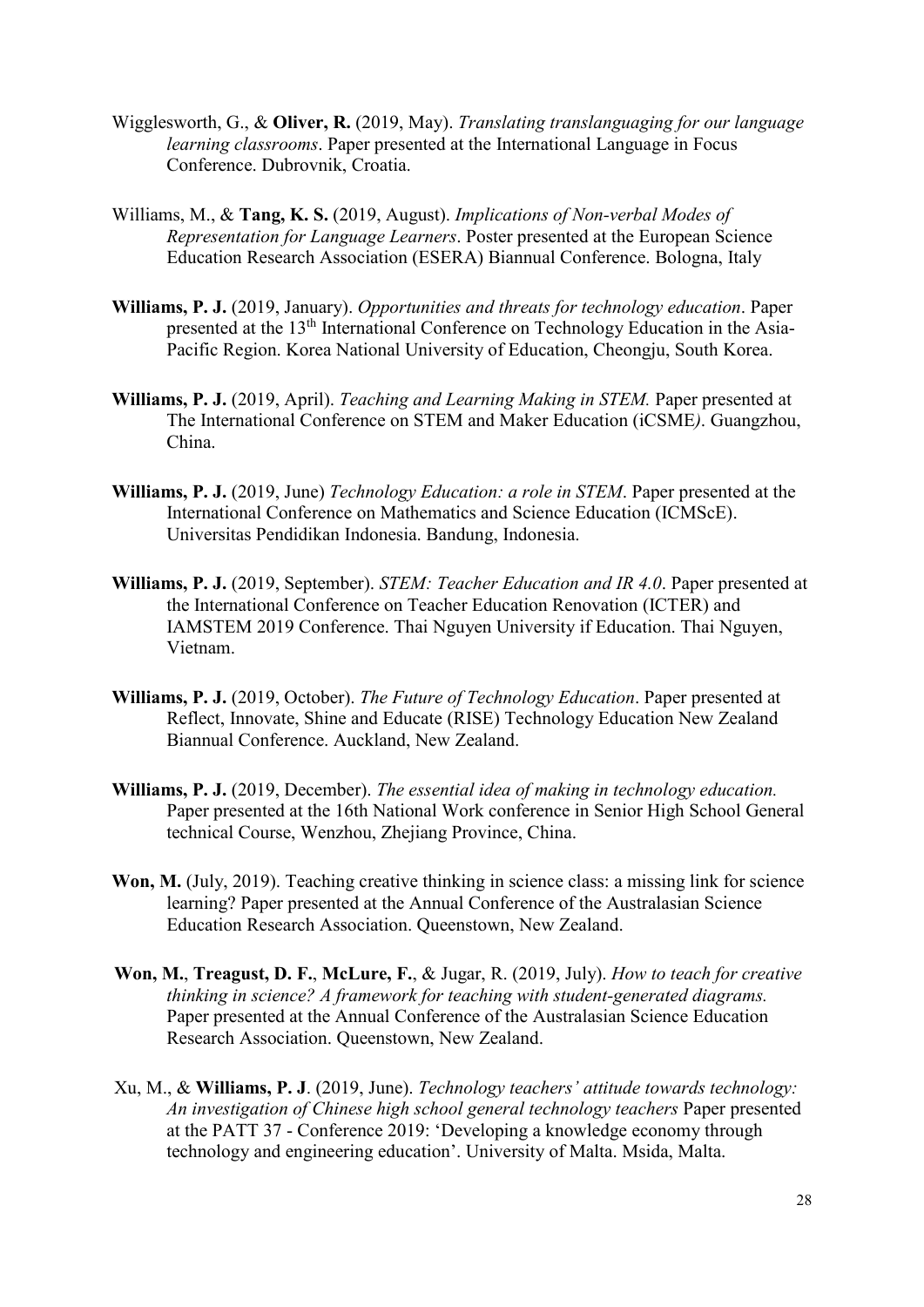- Wigglesworth, G., & **Oliver, R.** (2019, May). *Translating translanguaging for our language learning classrooms*. Paper presented at the International Language in Focus Conference. Dubrovnik, Croatia.
- Williams, M., & **Tang, K. S.** (2019, August). *Implications of Non-verbal Modes of Representation for Language Learners*. Poster presented at the European Science Education Research Association (ESERA) Biannual Conference. Bologna, Italy
- **Williams, P. J.** (2019, January). *Opportunities and threats for technology education*. Paper presented at the 13<sup>th</sup> International Conference on Technology Education in the Asia-Pacific Region. Korea National University of Education, Cheongju, South Korea.
- **Williams, P. J.** (2019, April). *Teaching and Learning Making in STEM.* Paper presented at The International Conference on STEM and Maker Education (iCSME*)*. Guangzhou, China.
- **Williams, P. J.** (2019, June) *Technology Education: a role in STEM*. Paper presented at the International Conference on Mathematics and Science Education (ICMScE). Universitas Pendidikan Indonesia. Bandung, Indonesia.
- **Williams, P. J.** (2019, September). *STEM: Teacher Education and IR 4.0*. Paper presented at the International Conference on Teacher Education Renovation (ICTER) and IAMSTEM 2019 Conference. Thai Nguyen University if Education. Thai Nguyen, Vietnam.
- **Williams, P. J.** (2019, October). *The Future of Technology Education*. Paper presented at Reflect, Innovate, Shine and Educate (RISE) Technology Education New Zealand Biannual Conference. Auckland, New Zealand.
- **Williams, P. J.** (2019, December). *The essential idea of making in technology education.* Paper presented at the 16th National Work conference in Senior High School General technical Course, Wenzhou, Zhejiang Province, China.
- **Won, M.** (July, 2019). Teaching creative thinking in science class: a missing link for science learning? Paper presented at the Annual Conference of the Australasian Science Education Research Association. Queenstown, New Zealand.
- **Won, M.**, **Treagust, D. F.**, **McLure, F.**, & Jugar, R. (2019, July). *How to teach for creative thinking in science? A framework for teaching with student-generated diagrams.*  Paper presented at the Annual Conference of the Australasian Science Education Research Association. Queenstown, New Zealand.
- Xu, M., & **Williams, P. J**. (2019, June). *Technology teachers' attitude towards technology: An investigation of Chinese high school general technology teachers* Paper presented at the PATT 37 - Conference 2019: 'Developing a knowledge economy through technology and engineering education'. University of Malta. Msida, Malta.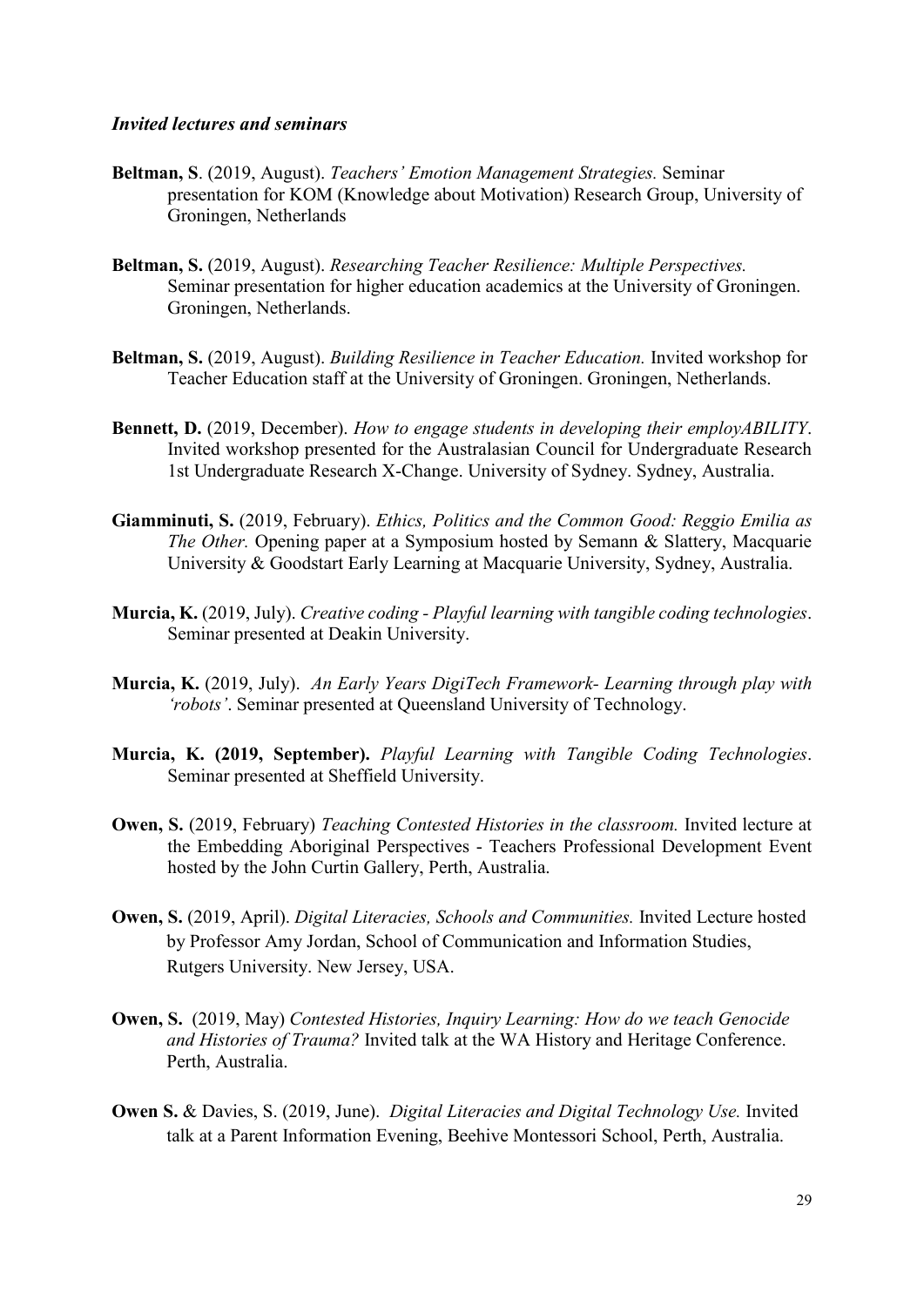#### *Invited lectures and seminars*

- **Beltman, S**. (2019, August). *Teachers' Emotion Management Strategies.* Seminar presentation for KOM (Knowledge about Motivation) Research Group, University of Groningen, Netherlands
- **Beltman, S.** (2019, August). *Researching Teacher Resilience: Multiple Perspectives.*  Seminar presentation for higher education academics at the University of Groningen. Groningen, Netherlands.
- **Beltman, S.** (2019, August). *Building Resilience in Teacher Education.* Invited workshop for Teacher Education staff at the University of Groningen. Groningen, Netherlands.
- **Bennett, D.** (2019, December). *How to engage students in developing their employABILITY*. Invited workshop presented for the Australasian Council for Undergraduate Research 1st Undergraduate Research X-Change. University of Sydney. Sydney, Australia.
- **Giamminuti, S.** (2019, February). *Ethics, Politics and the Common Good: Reggio Emilia as The Other.* Opening paper at a Symposium hosted by Semann & Slattery, Macquarie University & Goodstart Early Learning at Macquarie University, Sydney, Australia.
- **Murcia, K.** (2019, July). *Creative coding - Playful learning with tangible coding technologies*. Seminar presented at Deakin University.
- **Murcia, K.** (2019, July). *An Early Years DigiTech Framework- Learning through play with 'robots'*. Seminar presented at Queensland University of Technology.
- **Murcia, K. (2019, September).** *Playful Learning with Tangible Coding Technologies*. Seminar presented at Sheffield University.
- **Owen, S.** (2019, February) *Teaching Contested Histories in the classroom.* Invited lecture at the Embedding Aboriginal Perspectives - Teachers Professional Development Event hosted by the John Curtin Gallery, Perth, Australia.
- **Owen, S.** (2019, April). *Digital Literacies, Schools and Communities.* Invited Lecture hosted by Professor Amy Jordan, School of Communication and Information Studies, Rutgers University. New Jersey, USA.
- **Owen, S.** (2019, May) *Contested Histories, Inquiry Learning: How do we teach Genocide and Histories of Trauma?* Invited talk at the WA History and Heritage Conference. Perth, Australia.
- **Owen S.** & Davies, S. (2019, June). *Digital Literacies and Digital Technology Use.* Invited talk at a Parent Information Evening, Beehive Montessori School, Perth, Australia.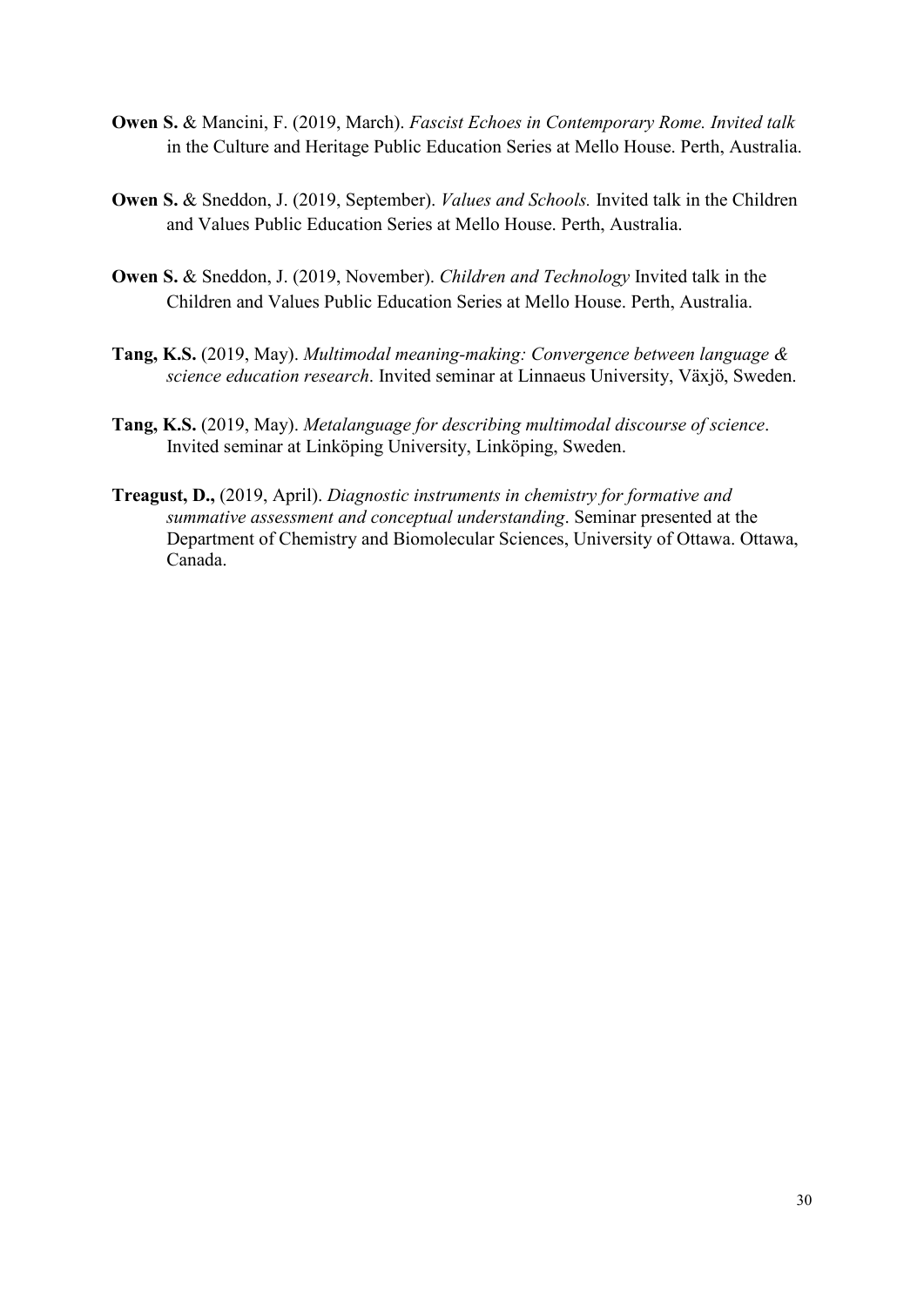- **Owen S.** & Mancini, F. (2019, March). *Fascist Echoes in Contemporary Rome. Invited talk*  in the Culture and Heritage Public Education Series at Mello House. Perth, Australia.
- **Owen S.** & Sneddon, J. (2019, September). *Values and Schools.* Invited talk in the Children and Values Public Education Series at Mello House. Perth, Australia.
- **Owen S.** & Sneddon, J. (2019, November). *Children and Technology* Invited talk in the Children and Values Public Education Series at Mello House. Perth, Australia.
- **Tang, K.S.** (2019, May). *Multimodal meaning-making: Convergence between language & science education research*. Invited seminar at Linnaeus University, Växjö, Sweden.
- **Tang, K.S.** (2019, May). *Metalanguage for describing multimodal discourse of science*. Invited seminar at Linköping University, Linköping, Sweden.
- **Treagust, D.,** (2019, April). *Diagnostic instruments in chemistry for formative and summative assessment and conceptual understanding*. Seminar presented at the Department of Chemistry and Biomolecular Sciences, University of Ottawa. Ottawa, Canada.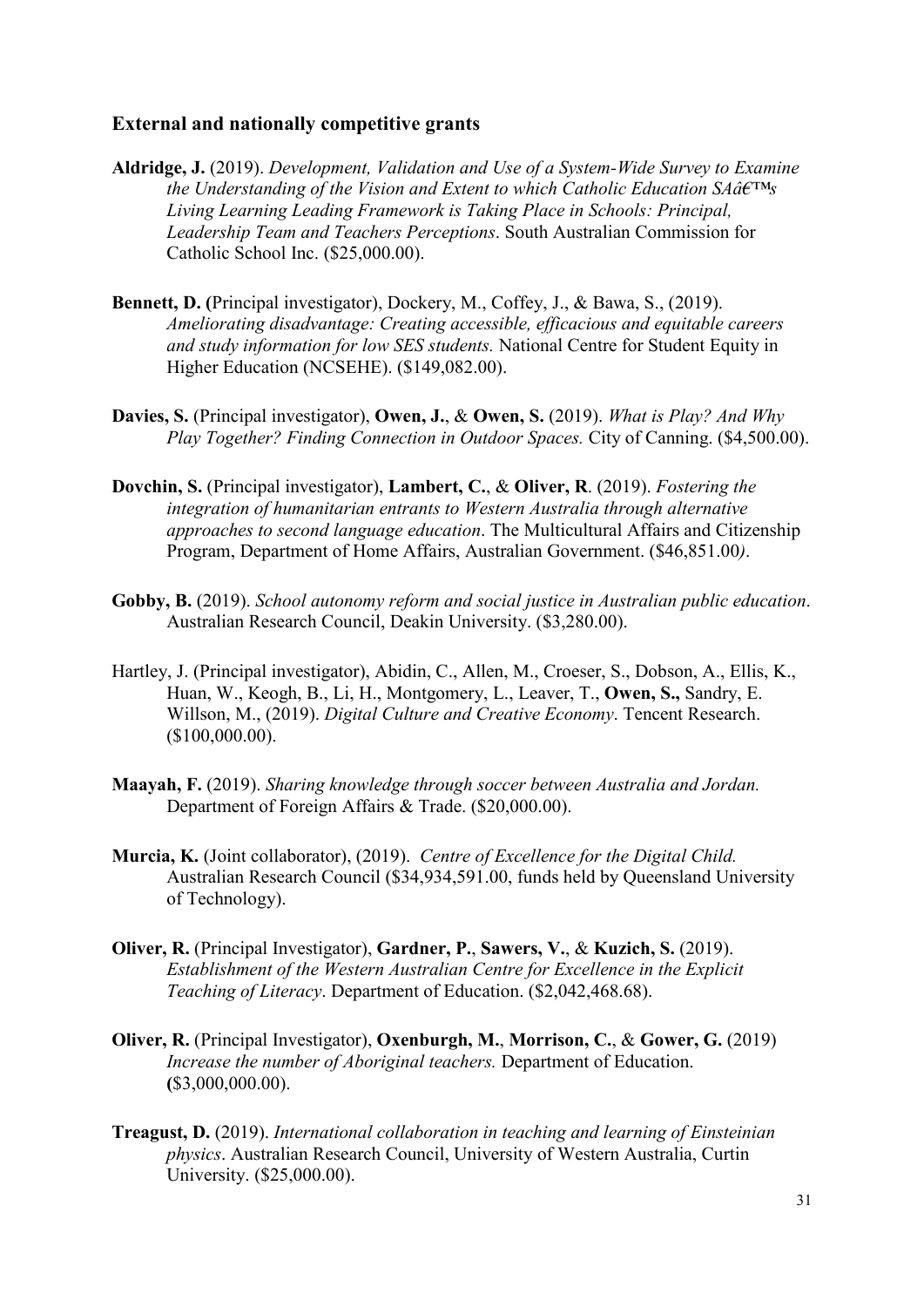### **External and nationally competitive grants**

- **Aldridge, J.** (2019). *Development, Validation and Use of a System-Wide Survey to Examine the Understanding of the Vision and Extent to which Catholic Education*  $SA\hat{a}\epsilon^{TM}$ *s Living Learning Leading Framework is Taking Place in Schools: Principal, Leadership Team and Teachers Perceptions*. South Australian Commission for Catholic School Inc. (\$25,000.00).
- **Bennett, D. (**Principal investigator), Dockery, M., Coffey, J., & Bawa, S., (2019). *Ameliorating disadvantage: Creating accessible, efficacious and equitable careers and study information for low SES students.* National Centre for Student Equity in Higher Education (NCSEHE). (\$149,082.00).
- **Davies, S.** (Principal investigator), **Owen, J.**, & **Owen, S.** (2019). *What is Play? And Why Play Together? Finding Connection in Outdoor Spaces.* City of Canning. (\$4,500.00).
- **Dovchin, S.** (Principal investigator), **Lambert, C.**, & **Oliver, R**. (2019). *Fostering the integration of humanitarian entrants to Western Australia through alternative approaches to second language education*. The Multicultural Affairs and Citizenship Program, Department of Home Affairs, Australian Government. (\$46,851.00*)*.
- **Gobby, B.** (2019). *School autonomy reform and social justice in Australian public education*. Australian Research Council, Deakin University. (\$3,280.00).
- Hartley, J. (Principal investigator), Abidin, C., Allen, M., Croeser, S., Dobson, A., Ellis, K., Huan, W., Keogh, B., Li, H., Montgomery, L., Leaver, T., **Owen, S.,** Sandry, E. Willson, M., (2019). *Digital Culture and Creative Economy*. Tencent Research. (\$100,000.00).
- **Maayah, F.** (2019). *Sharing knowledge through soccer between Australia and Jordan.* Department of Foreign Affairs & Trade. (\$20,000.00).
- **Murcia, K.** (Joint collaborator), (2019). *Centre of Excellence for the Digital Child.*  Australian Research Council (\$34,934,591.00, funds held by Queensland University of Technology).
- **Oliver, R.** (Principal Investigator), **Gardner, P.**, **Sawers, V.**, & **Kuzich, S.** (2019). *Establishment of the Western Australian Centre for Excellence in the Explicit Teaching of Literacy*. Department of Education. (\$2,042,468.68).
- **Oliver, R.** (Principal Investigator), **Oxenburgh, M.**, **Morrison, C.**, & **Gower, G.** (2019) *Increase the number of Aboriginal teachers.* Department of Education. **(**\$3,000,000.00).
- **Treagust, D.** (2019). *International collaboration in teaching and learning of Einsteinian physics*. Australian Research Council, University of Western Australia, Curtin University. (\$25,000.00).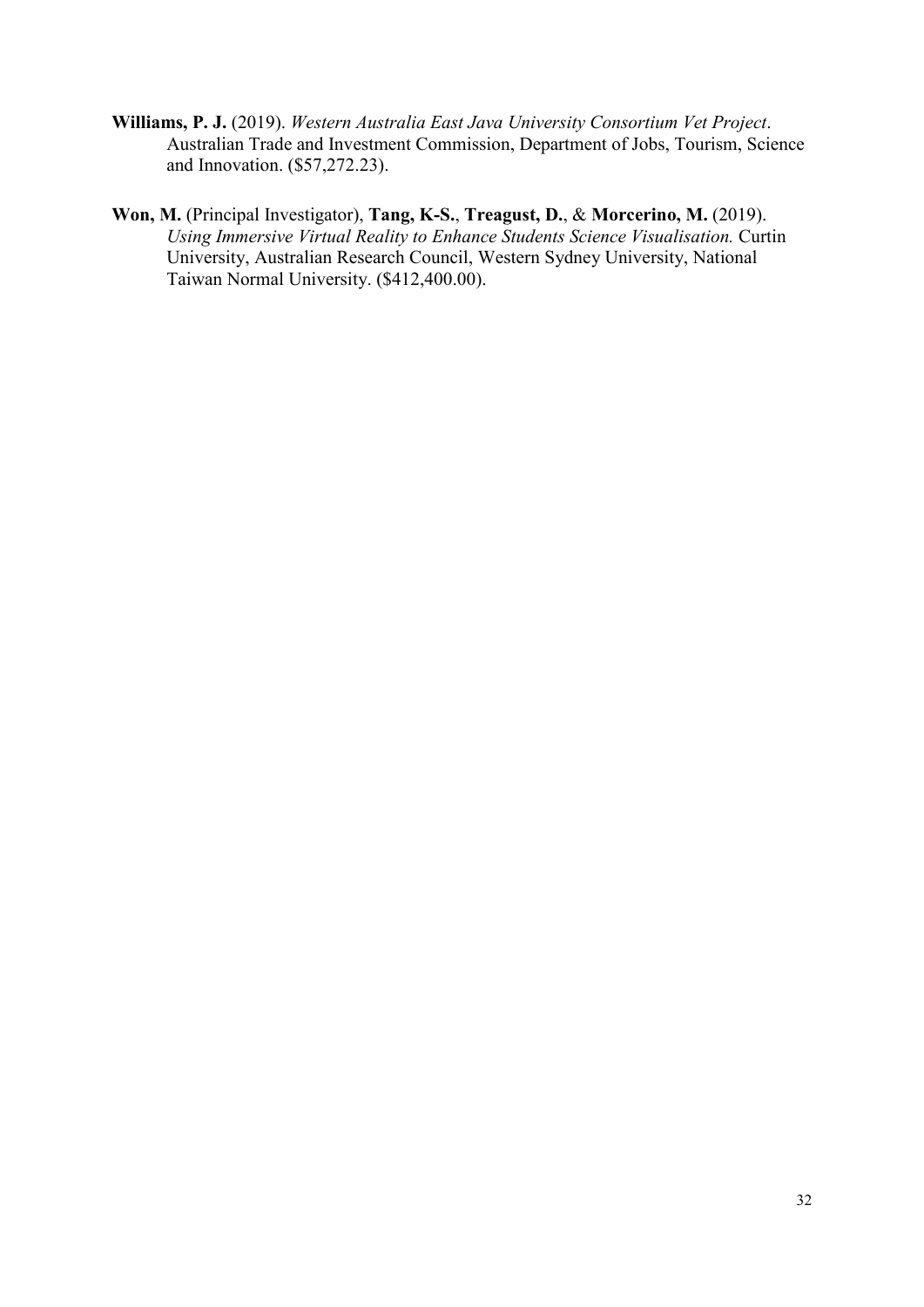- **Williams, P. J.** (2019). *Western Australia East Java University Consortium Vet Project*. Australian Trade and Investment Commission, Department of Jobs, Tourism, Science and Innovation. (\$57,272.23).
- **Won, M.** (Principal Investigator), **Tang, K-S.**, **Treagust, D.**, & **Morcerino, M.** (2019). *Using Immersive Virtual Reality to Enhance Students Science Visualisation.* Curtin University, Australian Research Council, Western Sydney University, National Taiwan Normal University. (\$412,400.00).